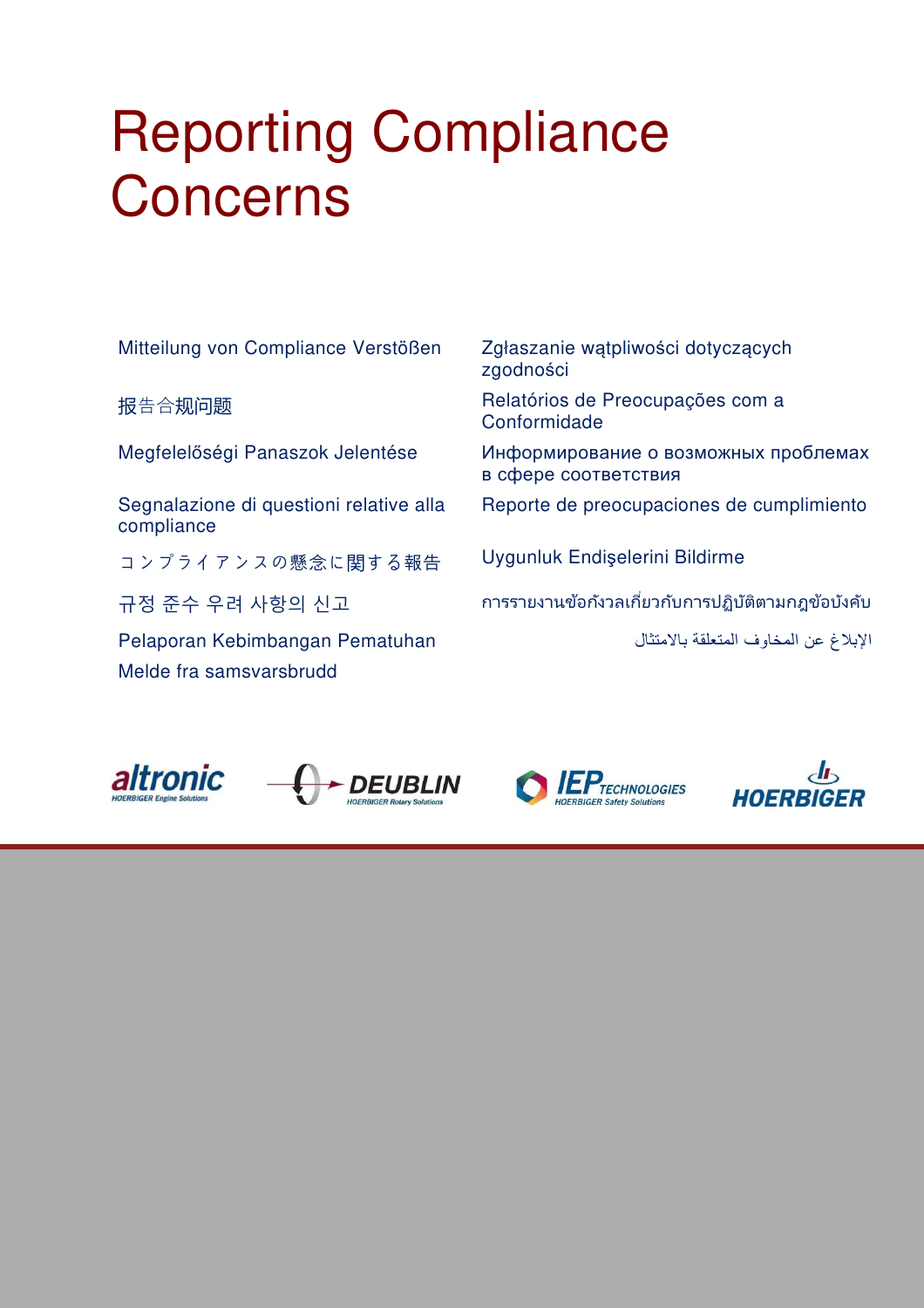# Reporting Compliance Concerns

Mitteilung von Compliance Verstößen Zgłaszanie wątpliwości dotyczących

Segnalazione di questioni relative alla compliance

コンプライアンスの懸念に関する報告 Uygunluk Endişelerini Bildirme

الإبلاغ عن المخاوف المتعلقة بالامتثال Pematuhan Kebimbangan Pelaporan Melde fra samsvarsbrudd

zgodności

报告合规问题 Relatórios de Preocupações com a Conformidade

Megfelelőségi Panaszok Jelentése Информирование о возможных проблемах в сфере соответствия

Reporte de preocupaciones de cumplimiento

규정 준수 우려 사항의 신고 การรายงานข้อกังวลเกียวกับการปฏิบัติตามกฎข้อบังคับ



**DEUBLIN** 



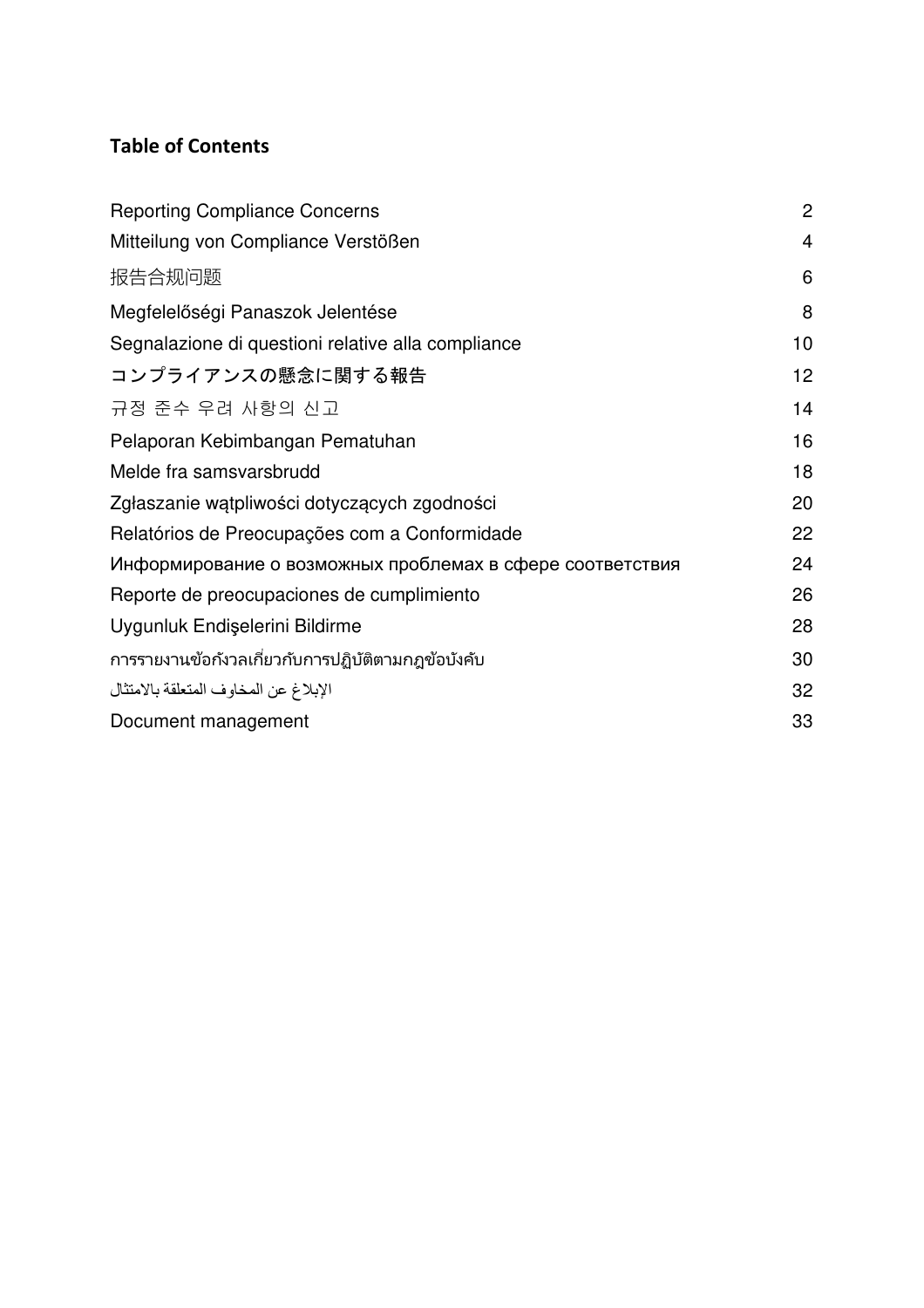## **Table of Contents**

| <b>Reporting Compliance Concerns</b>                      | $\overline{2}$ |
|-----------------------------------------------------------|----------------|
| Mitteilung von Compliance Verstößen                       | 4              |
| 报告合规问题                                                    | 6              |
| Megfelelőségi Panaszok Jelentése                          | 8              |
| Segnalazione di questioni relative alla compliance        | 10             |
| コンプライアンスの懸念に関する報告                                         | 12             |
| 규정 준수 우려 사항의 신고                                           | 14             |
| Pelaporan Kebimbangan Pematuhan                           | 16             |
| Melde fra samsvarsbrudd                                   | 18             |
| Zgłaszanie wątpliwości dotyczących zgodności              | 20             |
| Relatórios de Preocupações com a Conformidade             | 22             |
| Информирование о возможных проблемах в сфере соответствия | 24             |
| Reporte de preocupaciones de cumplimiento                 | 26             |
| Uygunluk Endişelerini Bildirme                            | 28             |
| การรายงานข้อกังวลเกี่ยวกับการปฏิบัติตามกฎข้อบังคับ        | 30             |
| الإبلاغ عن المخاوف المتعلقة بالامتثال                     | 32             |
| Document management                                       | 33             |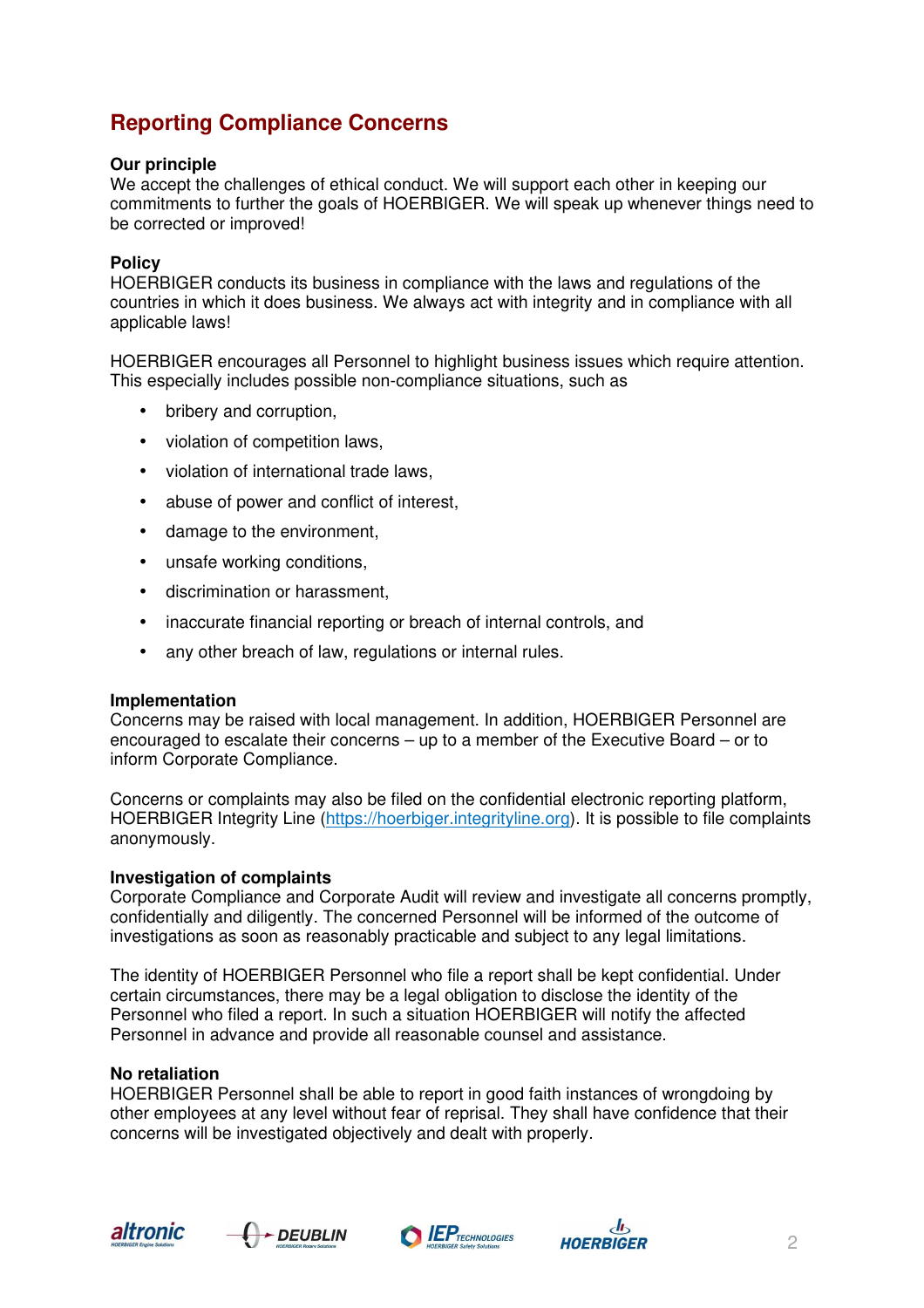# **Reporting Compliance Concerns**

#### **Our principle**

We accept the challenges of ethical conduct. We will support each other in keeping our commitments to further the goals of HOERBIGER. We will speak up whenever things need to be corrected or improved!

#### **Policy**

HOERBIGER conducts its business in compliance with the laws and regulations of the countries in which it does business. We always act with integrity and in compliance with all applicable laws!

HOERBIGER encourages all Personnel to highlight business issues which require attention. This especially includes possible non-compliance situations, such as

- bribery and corruption,
- violation of competition laws,
- violation of international trade laws,
- abuse of power and conflict of interest,
- damage to the environment,
- unsafe working conditions,
- discrimination or harassment,
- inaccurate financial reporting or breach of internal controls, and
- any other breach of law, regulations or internal rules.

#### **Implementation**

Concerns may be raised with local management. In addition, HOERBIGER Personnel are encouraged to escalate their concerns – up to a member of the Executive Board – or to inform Corporate Compliance.

Concerns or complaints may also be filed on the confidential electronic reporting platform, HOERBIGER Integrity Line (https://hoerbiger.integrityline.org). It is possible to file complaints anonymously.

#### **Investigation of complaints**

Corporate Compliance and Corporate Audit will review and investigate all concerns promptly, confidentially and diligently. The concerned Personnel will be informed of the outcome of investigations as soon as reasonably practicable and subject to any legal limitations.

The identity of HOERBIGER Personnel who file a report shall be kept confidential. Under certain circumstances, there may be a legal obligation to disclose the identity of the Personnel who filed a report. In such a situation HOERBIGER will notify the affected Personnel in advance and provide all reasonable counsel and assistance.

#### **No retaliation**

HOERBIGER Personnel shall be able to report in good faith instances of wrongdoing by other employees at any level without fear of reprisal. They shall have confidence that their concerns will be investigated objectively and dealt with properly.







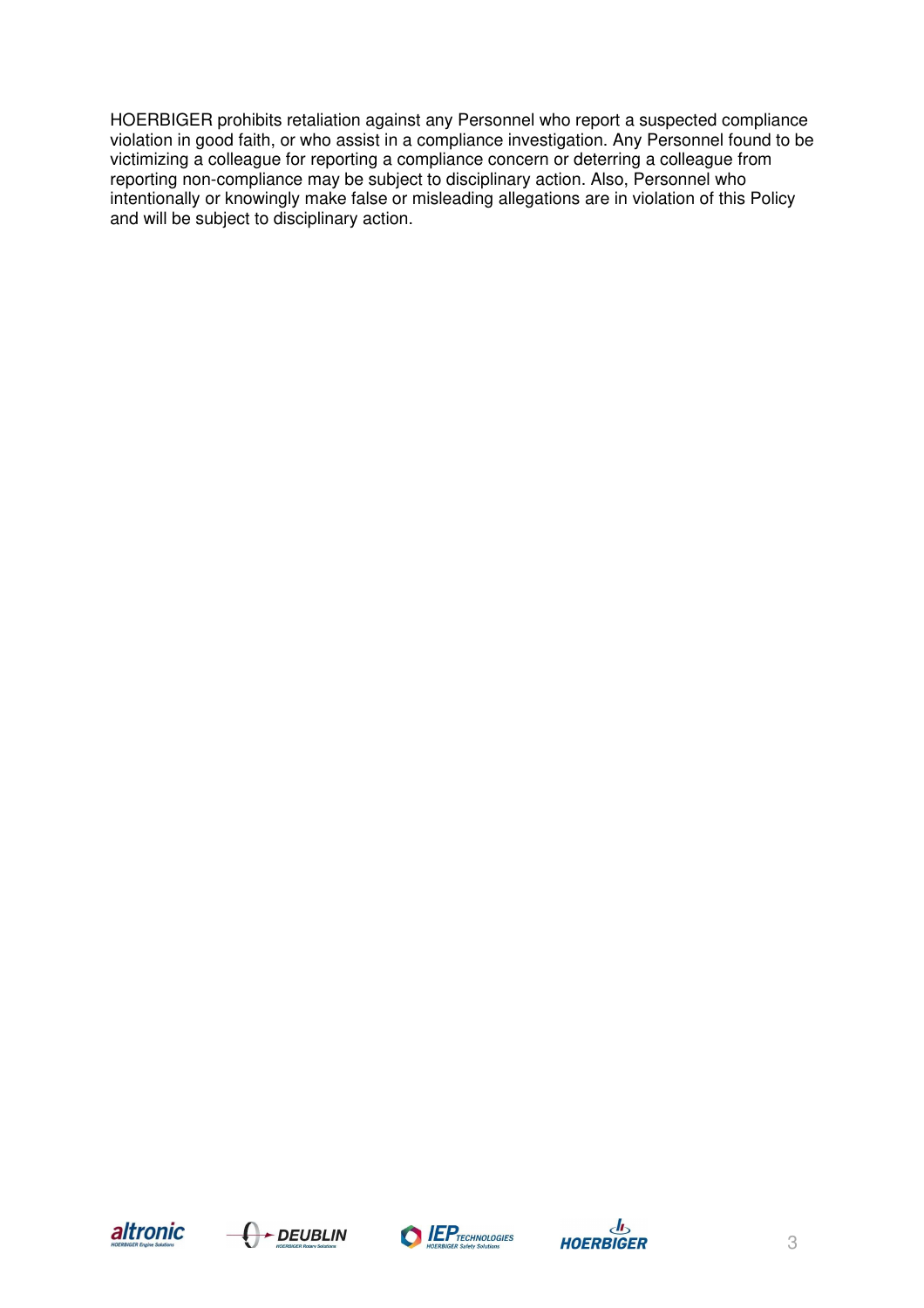HOERBIGER prohibits retaliation against any Personnel who report a suspected compliance violation in good faith, or who assist in a compliance investigation. Any Personnel found to be victimizing a colleague for reporting a compliance concern or deterring a colleague from reporting non-compliance may be subject to disciplinary action. Also, Personnel who intentionally or knowingly make false or misleading allegations are in violation of this Policy and will be subject to disciplinary action.







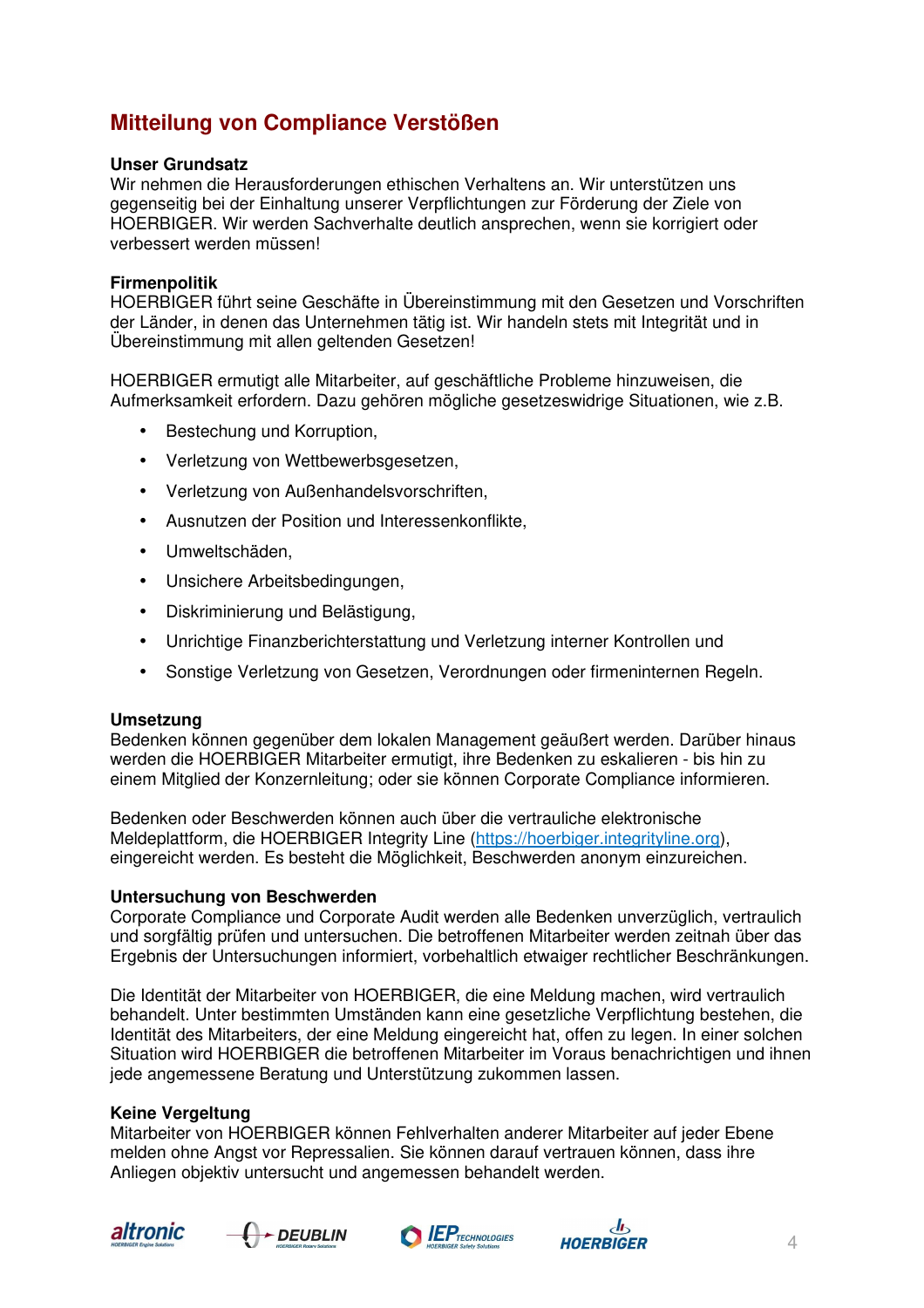# **Mitteilung von Compliance Verstößen**

#### **Unser Grundsatz**

Wir nehmen die Herausforderungen ethischen Verhaltens an. Wir unterstützen uns gegenseitig bei der Einhaltung unserer Verpflichtungen zur Förderung der Ziele von HOERBIGER. Wir werden Sachverhalte deutlich ansprechen, wenn sie korrigiert oder verbessert werden müssen!

#### **Firmenpolitik**

HOERBIGER führt seine Geschäfte in Übereinstimmung mit den Gesetzen und Vorschriften der Länder, in denen das Unternehmen tätig ist. Wir handeln stets mit Integrität und in Übereinstimmung mit allen geltenden Gesetzen!

HOERBIGER ermutigt alle Mitarbeiter, auf geschäftliche Probleme hinzuweisen, die Aufmerksamkeit erfordern. Dazu gehören mögliche gesetzeswidrige Situationen, wie z.B.

- Bestechung und Korruption,
- Verletzung von Wettbewerbsgesetzen,
- Verletzung von Außenhandelsvorschriften,
- Ausnutzen der Position und Interessenkonflikte,
- Umweltschäden,
- Unsichere Arbeitsbedingungen,
- Diskriminierung und Belästigung,
- Unrichtige Finanzberichterstattung und Verletzung interner Kontrollen und
- Sonstige Verletzung von Gesetzen, Verordnungen oder firmeninternen Regeln.

#### **Umsetzung**

Bedenken können gegenüber dem lokalen Management geäußert werden. Darüber hinaus werden die HOERBIGER Mitarbeiter ermutigt, ihre Bedenken zu eskalieren - bis hin zu einem Mitglied der Konzernleitung; oder sie können Corporate Compliance informieren.

Bedenken oder Beschwerden können auch über die vertrauliche elektronische Meldeplattform, die HOERBIGER Integrity Line (https://hoerbiger.integrityline.org), eingereicht werden. Es besteht die Möglichkeit, Beschwerden anonym einzureichen.

#### **Untersuchung von Beschwerden**

Corporate Compliance und Corporate Audit werden alle Bedenken unverzüglich, vertraulich und sorgfältig prüfen und untersuchen. Die betroffenen Mitarbeiter werden zeitnah über das Ergebnis der Untersuchungen informiert, vorbehaltlich etwaiger rechtlicher Beschränkungen.

Die Identität der Mitarbeiter von HOERBIGER, die eine Meldung machen, wird vertraulich behandelt. Unter bestimmten Umständen kann eine gesetzliche Verpflichtung bestehen, die Identität des Mitarbeiters, der eine Meldung eingereicht hat, offen zu legen. In einer solchen Situation wird HOERBIGER die betroffenen Mitarbeiter im Voraus benachrichtigen und ihnen jede angemessene Beratung und Unterstützung zukommen lassen.

#### **Keine Vergeltung**

Mitarbeiter von HOERBIGER können Fehlverhalten anderer Mitarbeiter auf jeder Ebene melden ohne Angst vor Repressalien. Sie können darauf vertrauen können, dass ihre Anliegen objektiv untersucht und angemessen behandelt werden.







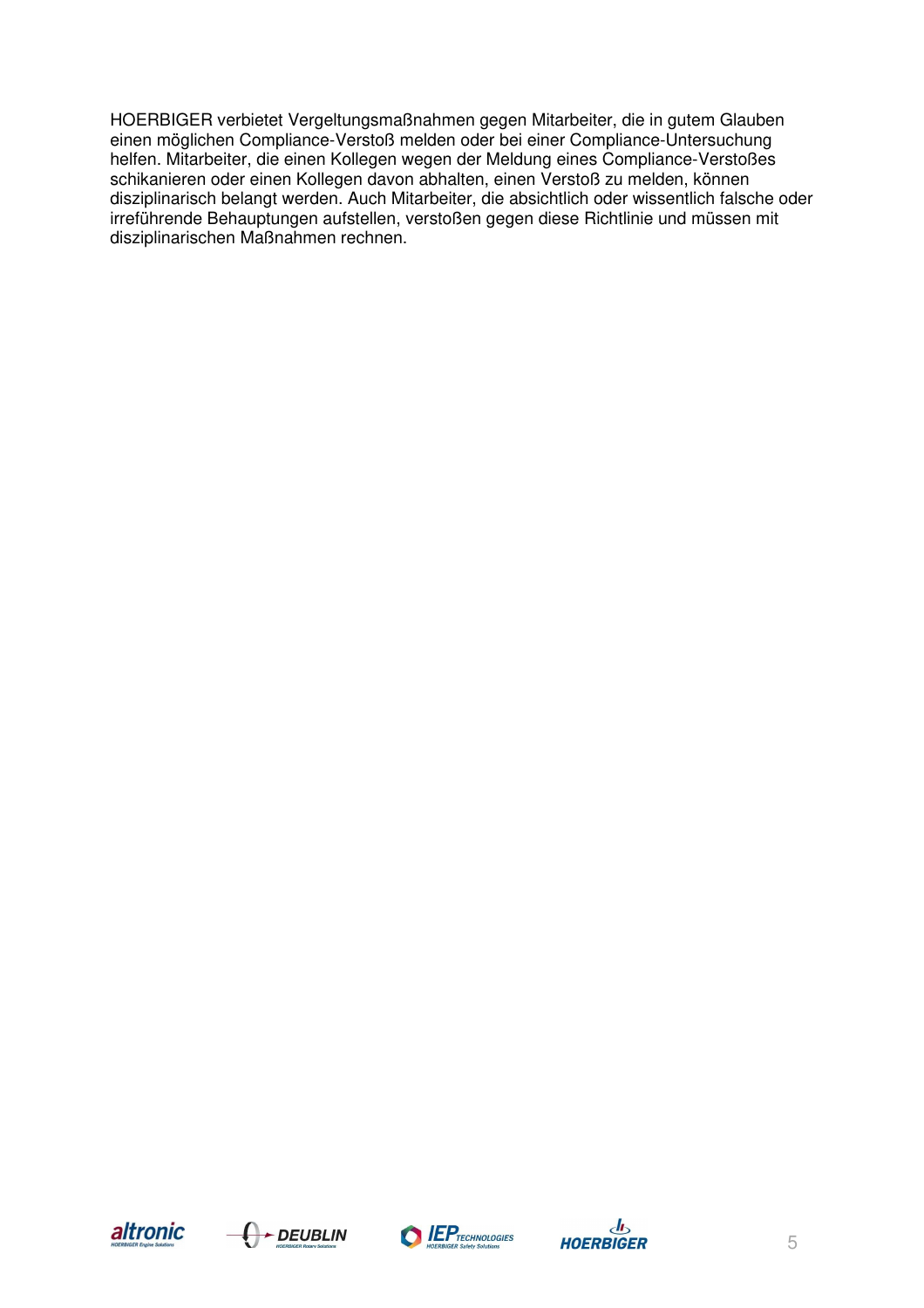HOERBIGER verbietet Vergeltungsmaßnahmen gegen Mitarbeiter, die in gutem Glauben einen möglichen Compliance-Verstoß melden oder bei einer Compliance-Untersuchung helfen. Mitarbeiter, die einen Kollegen wegen der Meldung eines Compliance-Verstoßes schikanieren oder einen Kollegen davon abhalten, einen Verstoß zu melden, können disziplinarisch belangt werden. Auch Mitarbeiter, die absichtlich oder wissentlich falsche oder irreführende Behauptungen aufstellen, verstoßen gegen diese Richtlinie und müssen mit disziplinarischen Maßnahmen rechnen.







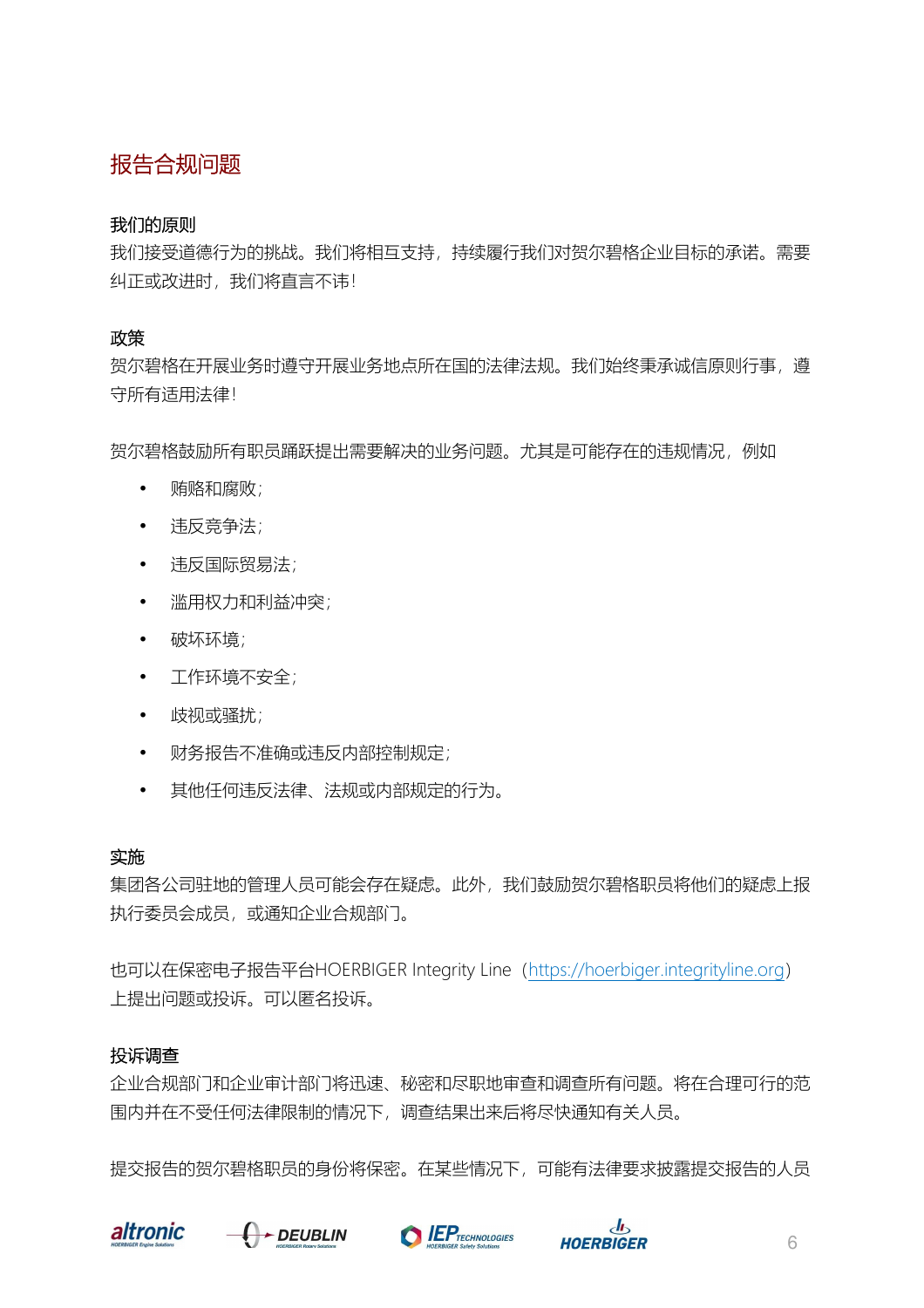# 报告合规问题

## 我们的原则

我们接受道德行为的挑战。我们将相互支持,持续履行我们对贺尔碧格企业目标的承诺。需要 纠正或改进时,我们将直言不讳!

## 政策

贺尔碧格在开展业务时遵守开展业务地点所在国的法律法规。我们始终秉承诚信原则行事,遵 守所有适用法律!

贺尔碧格鼓励所有职员踊跃提出需要解决的业务问题。尤其是可能存在的违规情况,例如

- 贿赂和腐败;
- 违反竞争法;
- 违反国际贸易法;
- 滥用权力和利益冲突;
- 破坏环境;
- 工作环境不安全;
- 歧视或骚扰;
- 财务报告不准确或违反内部控制规定;
- 其他任何违反法律、法规或内部规定的行为。

## 实施

集团各公司驻地的管理人员可能会存在疑虑。此外,我们鼓励贺尔碧格职员将他们的疑虑上报 执行委员会成员,或通知企业合规部门。

也可以在保密电子报告平台HOERBIGER Integrity Line(https://hoerbiger.integrityline.org) 上提出问题或投诉。可以匿名投诉。

## 投诉调查

企业合规部门和企业审计部门将迅速、秘密和尽职地审查和调查所有问题。将在合理可行的范 围内并在不受任何法律限制的情况下,调查结果出来后将尽快通知有关人员。

提交报告的贺尔碧格职员的身份将保密。在某些情况下,可能有法律要求披露提交报告的人员







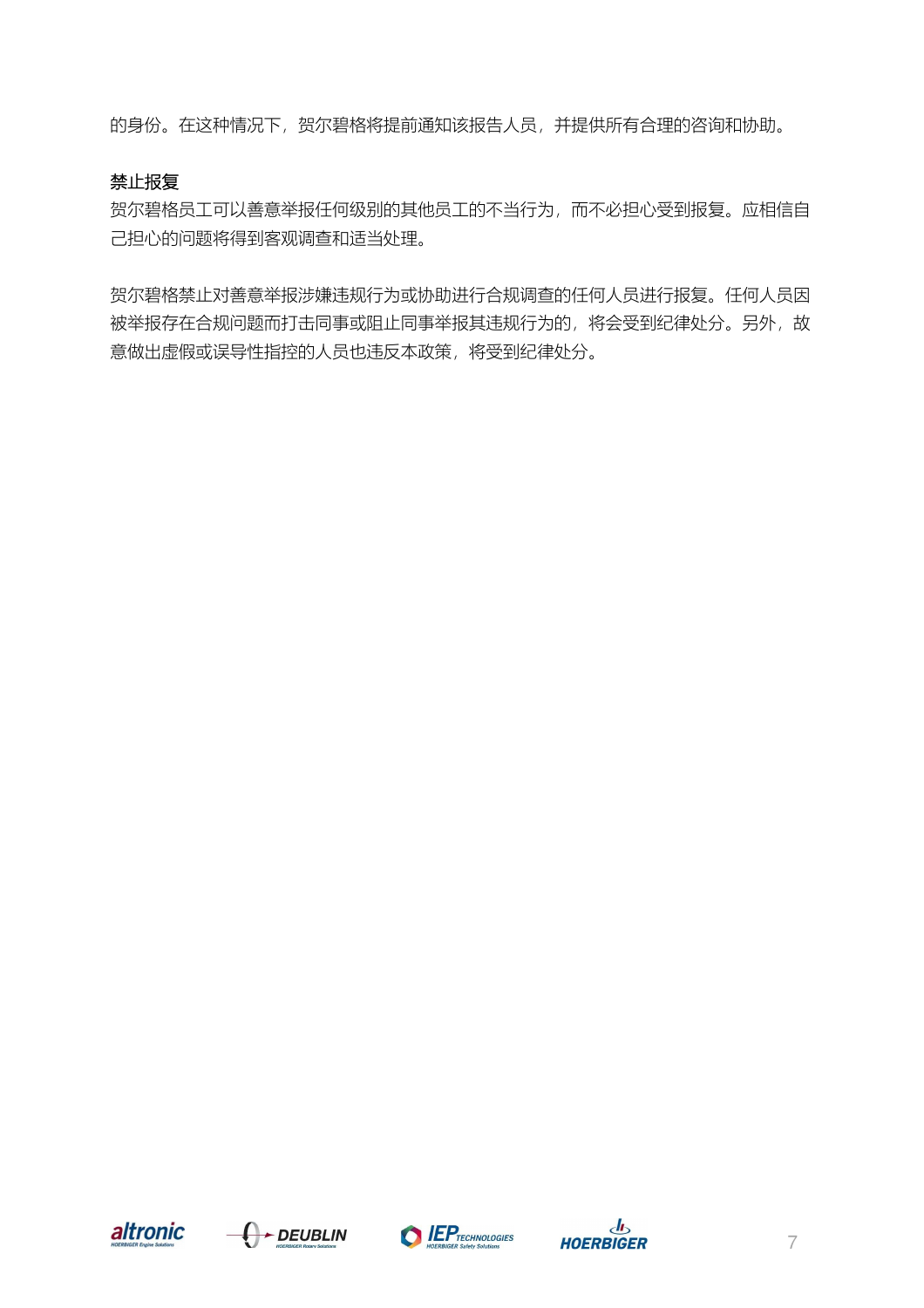的身份。在这种情况下,贺尔碧格将提前通知该报告人员,并提供所有合理的咨询和协助。

## 禁止报复

贺尔碧格员工可以善意举报任何级别的其他员工的不当行为,而不必担心受到报复。应相信自 己担心的问题将得到客观调查和适当处理。

贺尔碧格禁止对善意举报涉嫌违规行为或协助进行合规调查的任何人员进行报复。任何人员因 被举报存在合规问题而打击同事或阻止同事举报其违规行为的,将会受到纪律处分。另外,故 意做出虚假或误导性指控的人员也违反本政策,将受到纪律处分。







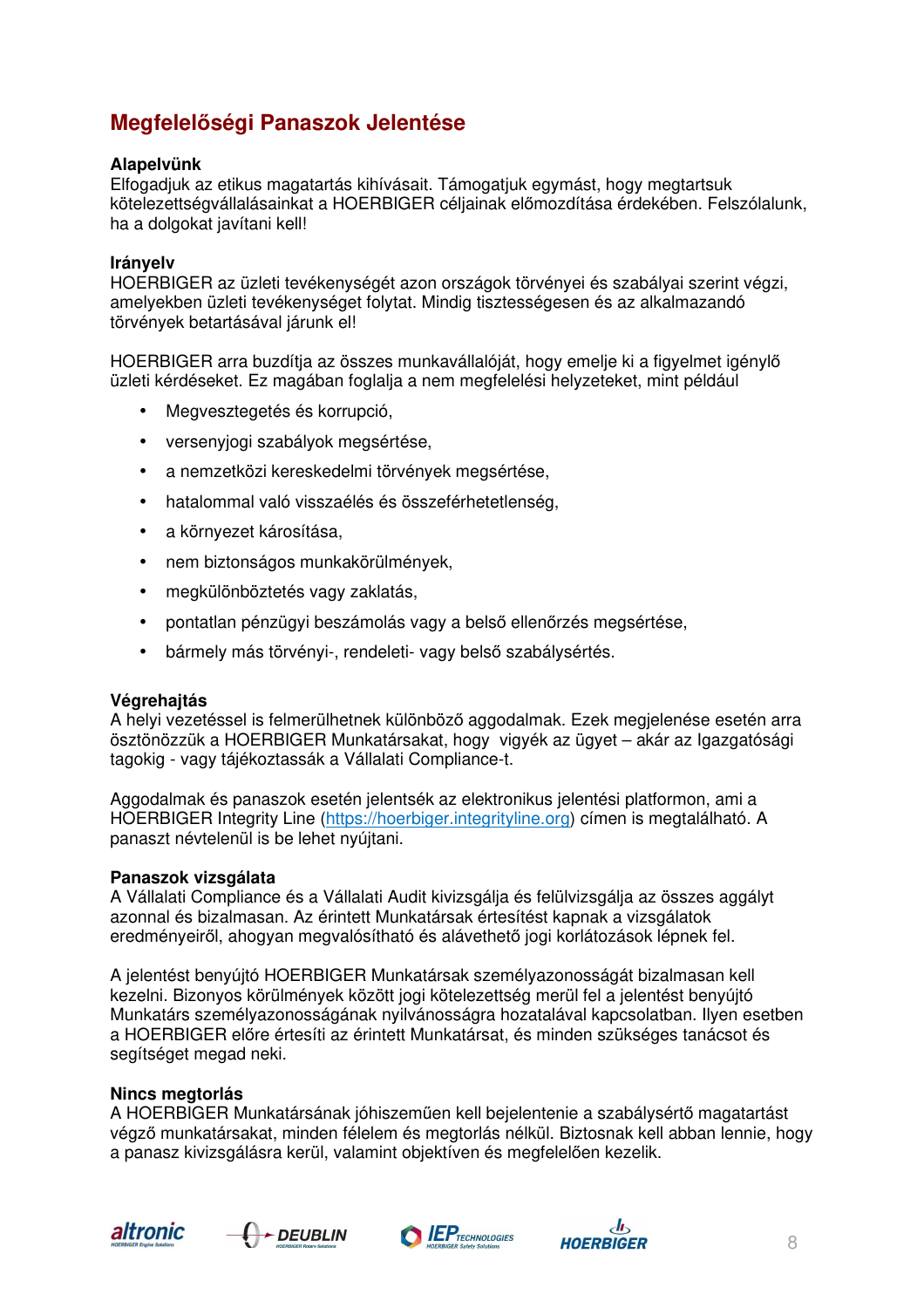# **Megfelelőségi Panaszok Jelentése**

#### **Alapelvünk**

Elfogadjuk az etikus magatartás kihívásait. Támogatjuk egymást, hogy megtartsuk kötelezettségvállalásainkat a HOERBIGER céljainak előmozdítása érdekében. Felszólalunk, ha a dolgokat javítani kell!

#### **Irányelv**

HOERBIGER az üzleti tevékenységét azon országok törvényei és szabályai szerint végzi, amelyekben üzleti tevékenységet folytat. Mindig tisztességesen és az alkalmazandó törvények betartásával járunk el!

HOERBIGER arra buzdítja az összes munkavállalóját, hogy emelje ki a figyelmet igénylő üzleti kérdéseket. Ez magában foglalja a nem megfelelési helyzeteket, mint például

- Megvesztegetés és korrupció,
- versenyjogi szabályok megsértése,
- a nemzetközi kereskedelmi törvények megsértése,
- hatalommal való visszaélés és összeférhetetlenség,
- a környezet károsítása,
- nem biztonságos munkakörülmények,
- megkülönböztetés vagy zaklatás,
- pontatlan pénzügyi beszámolás vagy a belső ellenőrzés megsértése,
- bármely más törvényi-, rendeleti- vagy belső szabálysértés.

#### **Végrehajtás**

A helyi vezetéssel is felmerülhetnek különböző aggodalmak. Ezek megjelenése esetén arra ösztönözzük a HOERBIGER Munkatársakat, hogy vigyék az ügyet – akár az Igazgatósági tagokig - vagy tájékoztassák a Vállalati Compliance-t.

Aggodalmak és panaszok esetén jelentsék az elektronikus jelentési platformon, ami a HOERBIGER Integrity Line (https://hoerbiger.integrityline.org) címen is megtalálható. A panaszt névtelenül is be lehet nyújtani.

#### **Panaszok vizsgálata**

A Vállalati Compliance és a Vállalati Audit kivizsgálja és felülvizsgálja az összes aggályt azonnal és bizalmasan. Az érintett Munkatársak értesítést kapnak a vizsgálatok eredményeiről, ahogyan megvalósítható és alávethető jogi korlátozások lépnek fel.

A jelentést benyújtó HOERBIGER Munkatársak személyazonosságát bizalmasan kell kezelni. Bizonyos körülmények között jogi kötelezettség merül fel a jelentést benyújtó Munkatárs személyazonosságának nyilvánosságra hozatalával kapcsolatban. Ilyen esetben a HOERBIGER előre értesíti az érintett Munkatársat, és minden szükséges tanácsot és segítséget megad neki.

#### **Nincs megtorlás**

A HOERBIGER Munkatársának jóhiszeműen kell bejelentenie a szabálysértő magatartást végző munkatársakat, minden félelem és megtorlás nélkül. Biztosnak kell abban lennie, hogy a panasz kivizsgálásra kerül, valamint objektíven és megfelelően kezelik.







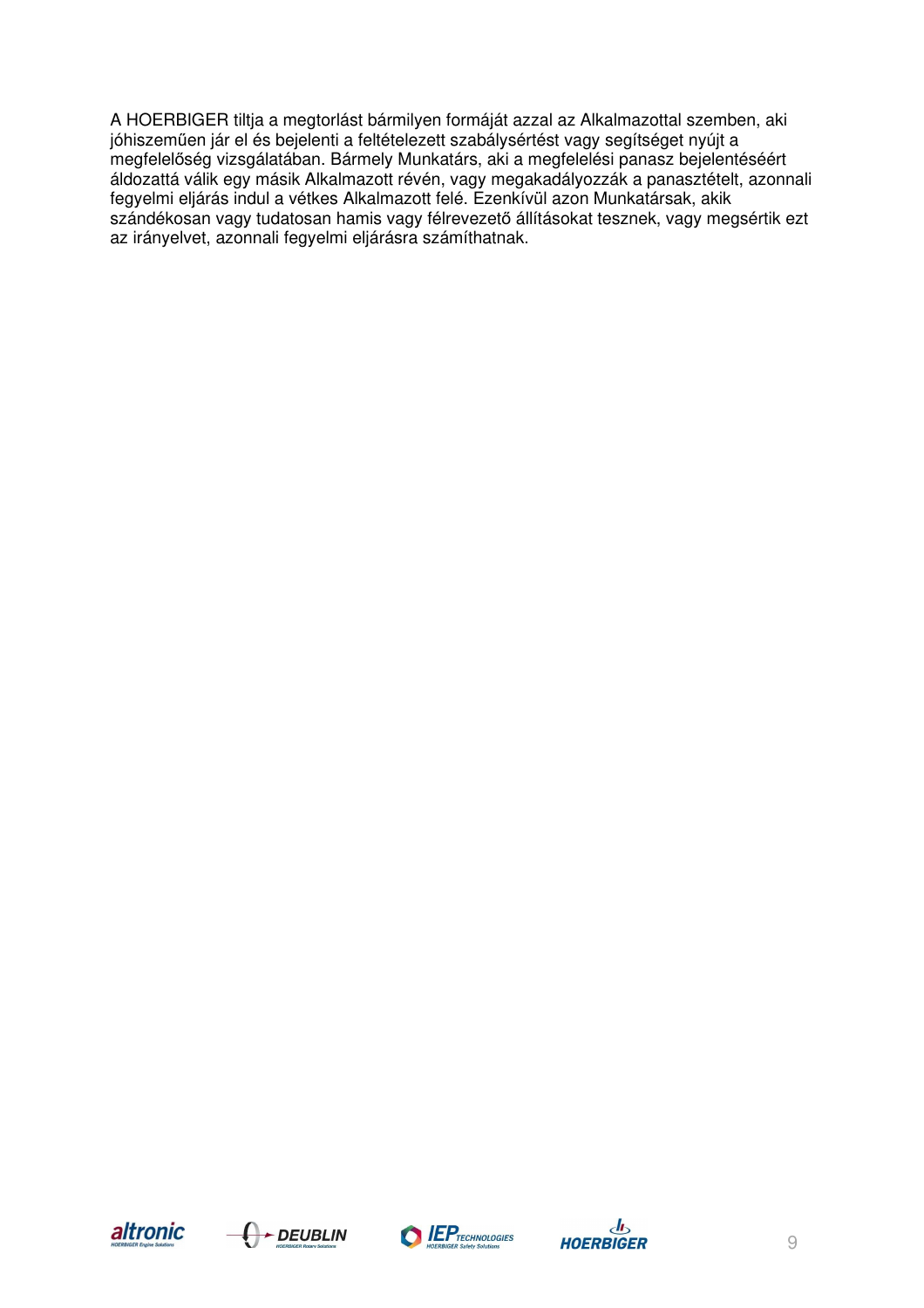A HOERBIGER tiltja a megtorlást bármilyen formáját azzal az Alkalmazottal szemben, aki jóhiszeműen jár el és bejelenti a feltételezett szabálysértést vagy segítséget nyújt a megfelelőség vizsgálatában. Bármely Munkatárs, aki a megfelelési panasz bejelentéséért áldozattá válik egy másik Alkalmazott révén, vagy megakadályozzák a panasztételt, azonnali fegyelmi eljárás indul a vétkes Alkalmazott felé. Ezenkívül azon Munkatársak, akik szándékosan vagy tudatosan hamis vagy félrevezető állításokat tesznek, vagy megsértik ezt az irányelvet, azonnali fegyelmi eljárásra számíthatnak.







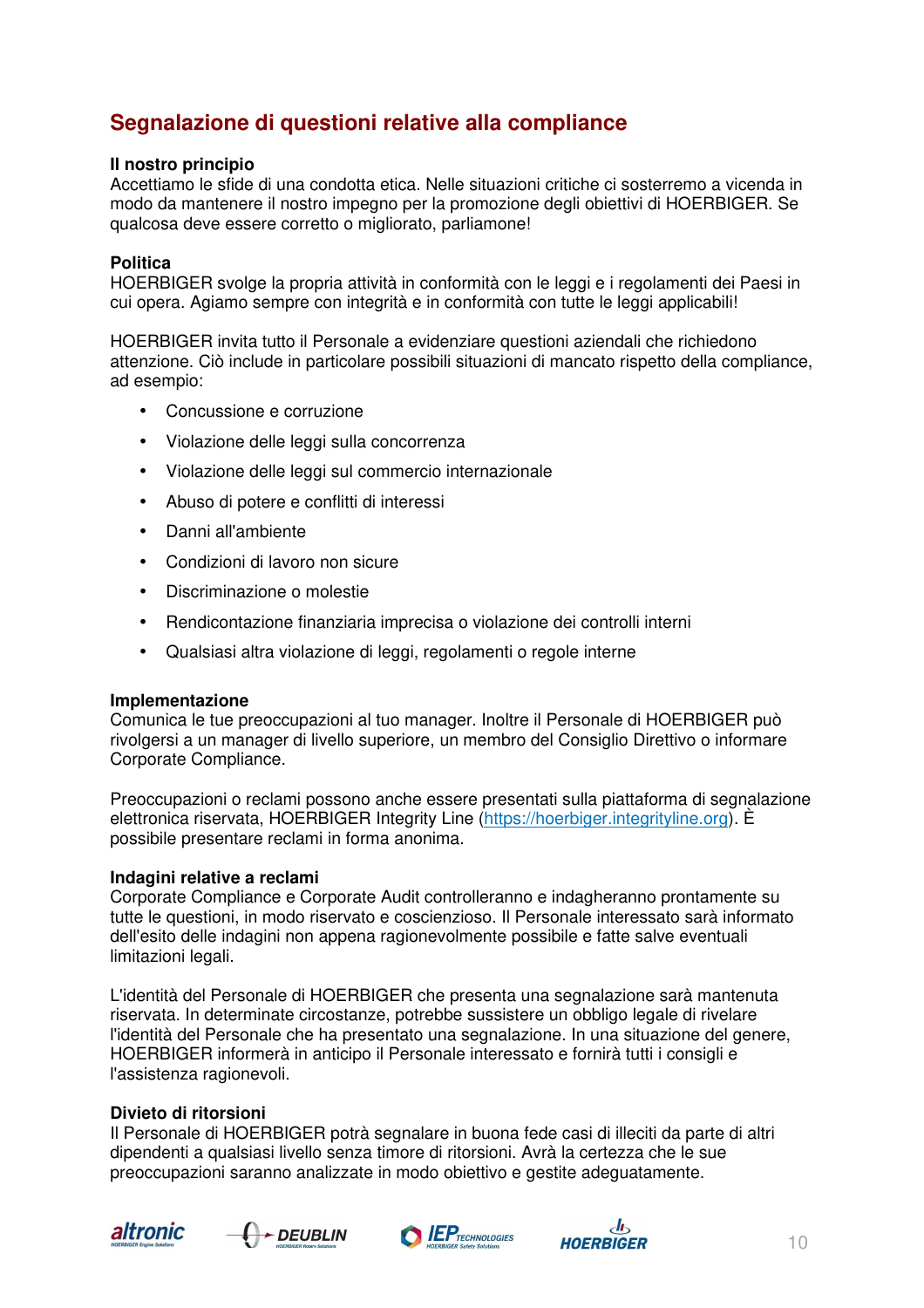# **Segnalazione di questioni relative alla compliance**

#### **Il nostro principio**

Accettiamo le sfide di una condotta etica. Nelle situazioni critiche ci sosterremo a vicenda in modo da mantenere il nostro impegno per la promozione degli obiettivi di HOERBIGER. Se qualcosa deve essere corretto o migliorato, parliamone!

#### **Politica**

HOERBIGER svolge la propria attività in conformità con le leggi e i regolamenti dei Paesi in cui opera. Agiamo sempre con integrità e in conformità con tutte le leggi applicabili!

HOERBIGER invita tutto il Personale a evidenziare questioni aziendali che richiedono attenzione. Ciò include in particolare possibili situazioni di mancato rispetto della compliance, ad esempio:

- Concussione e corruzione
- Violazione delle leggi sulla concorrenza
- Violazione delle leggi sul commercio internazionale
- Abuso di potere e conflitti di interessi
- Danni all'ambiente
- Condizioni di lavoro non sicure
- Discriminazione o molestie
- Rendicontazione finanziaria imprecisa o violazione dei controlli interni
- Qualsiasi altra violazione di leggi, regolamenti o regole interne

#### **Implementazione**

Comunica le tue preoccupazioni al tuo manager. Inoltre il Personale di HOERBIGER può rivolgersi a un manager di livello superiore, un membro del Consiglio Direttivo o informare Corporate Compliance.

Preoccupazioni o reclami possono anche essere presentati sulla piattaforma di segnalazione elettronica riservata, HOERBIGER Integrity Line (https://hoerbiger.integrityline.org). È possibile presentare reclami in forma anonima.

#### **Indagini relative a reclami**

Corporate Compliance e Corporate Audit controlleranno e indagheranno prontamente su tutte le questioni, in modo riservato e coscienzioso. Il Personale interessato sarà informato dell'esito delle indagini non appena ragionevolmente possibile e fatte salve eventuali limitazioni legali.

L'identità del Personale di HOERBIGER che presenta una segnalazione sarà mantenuta riservata. In determinate circostanze, potrebbe sussistere un obbligo legale di rivelare l'identità del Personale che ha presentato una segnalazione. In una situazione del genere, HOERBIGER informerà in anticipo il Personale interessato e fornirà tutti i consigli e l'assistenza ragionevoli.

#### **Divieto di ritorsioni**

Il Personale di HOERBIGER potrà segnalare in buona fede casi di illeciti da parte di altri dipendenti a qualsiasi livello senza timore di ritorsioni. Avrà la certezza che le sue preoccupazioni saranno analizzate in modo obiettivo e gestite adeguatamente.







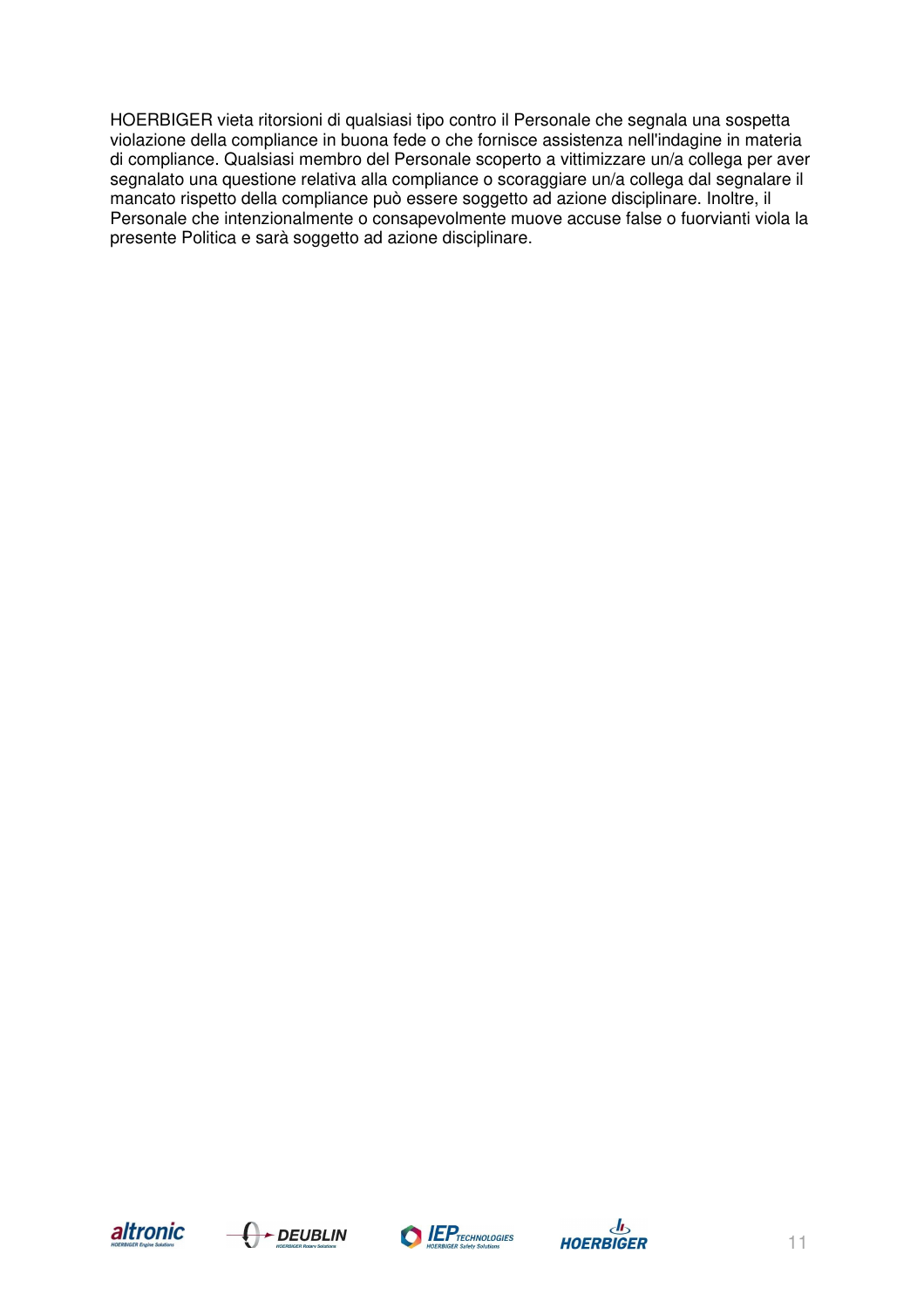HOERBIGER vieta ritorsioni di qualsiasi tipo contro il Personale che segnala una sospetta violazione della compliance in buona fede o che fornisce assistenza nell'indagine in materia di compliance. Qualsiasi membro del Personale scoperto a vittimizzare un/a collega per aver segnalato una questione relativa alla compliance o scoraggiare un/a collega dal segnalare il mancato rispetto della compliance può essere soggetto ad azione disciplinare. Inoltre, il Personale che intenzionalmente o consapevolmente muove accuse false o fuorvianti viola la presente Politica e sarà soggetto ad azione disciplinare.







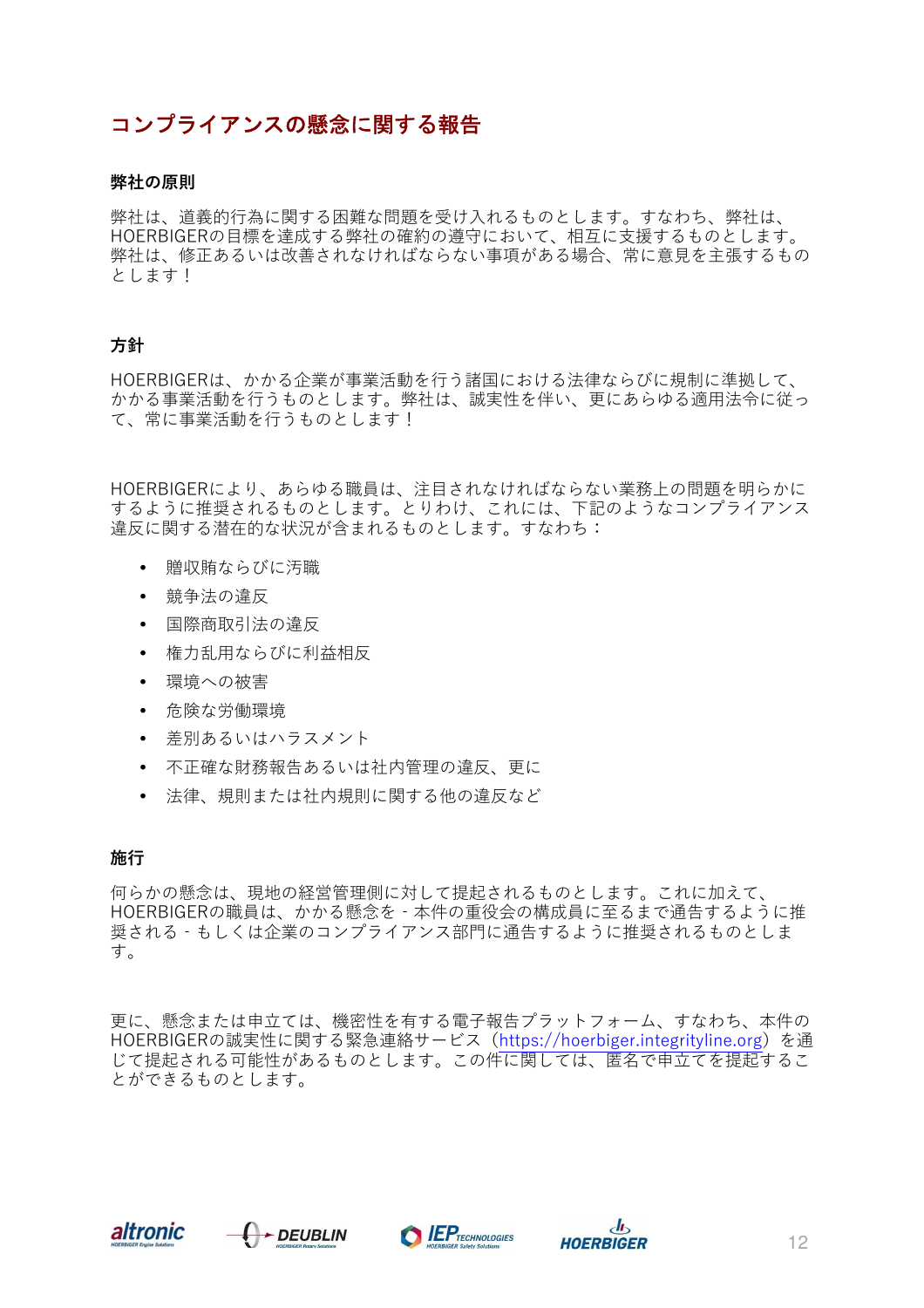## コンプライアンスの懸念に関する報告

#### **弊社の原則**

弊社は、道義的行為に関する困難な問題を受け入れるものとします。すなわち、弊社は、 HOERBIGERの目標を達成する弊社の確約の遵守において、相互に支援するものとします。 弊社は、修正あるいは改善されなければならない事項がある場合、常に意見を主張するもの とします!

#### **方針**

HOERBIGERは、かかる企業が事業活動を行う諸国における法律ならびに規制に準拠して、 かかる事業活動を行うものとします。弊社は、誠実性を伴い、更にあらゆる適用法令に従っ て、常に事業活動を行うものとします!

HOERBIGERにより、あらゆる職員は、注目されなければならない業務上の問題を明らかに するように推奨されるものとします。とりわけ、これには、下記のようなコンプライアンス 違反に関する潜在的な状況が含まれるものとします。すなわち:

- 贈収賄ならびに汚職
- 競争法の違反
- 国際商取引法の違反
- 権力乱用ならびに利益相反
- 環境への被害
- 危険な労働環境
- 差別あるいはハラスメント
- 不正確な財務報告あるいは社内管理の違反、更に
- 法律、規則または社内規則に関する他の違反など

#### **施行**

何らかの懸念は、現地の経営管理側に対して提起されるものとします。これに加えて、 HOERBIGERの職員は、かかる懸念を‐本件の重役会の構成員に至るまで通告するように推 奨される‐もしくは企業のコンプライアンス部門に通告するように推奨されるものとしま す。

更に、懸念または申立ては、機密性を有する電子報告プラットフォーム、すなわち、本件の HOERBIGERの誠実性に関する緊急連絡サービス(https://hoerbiger.integrityline.org)を通 じて提起される可能性があるものとします。この件に関しては、匿名で申立てを提起するこ とができるものとします。







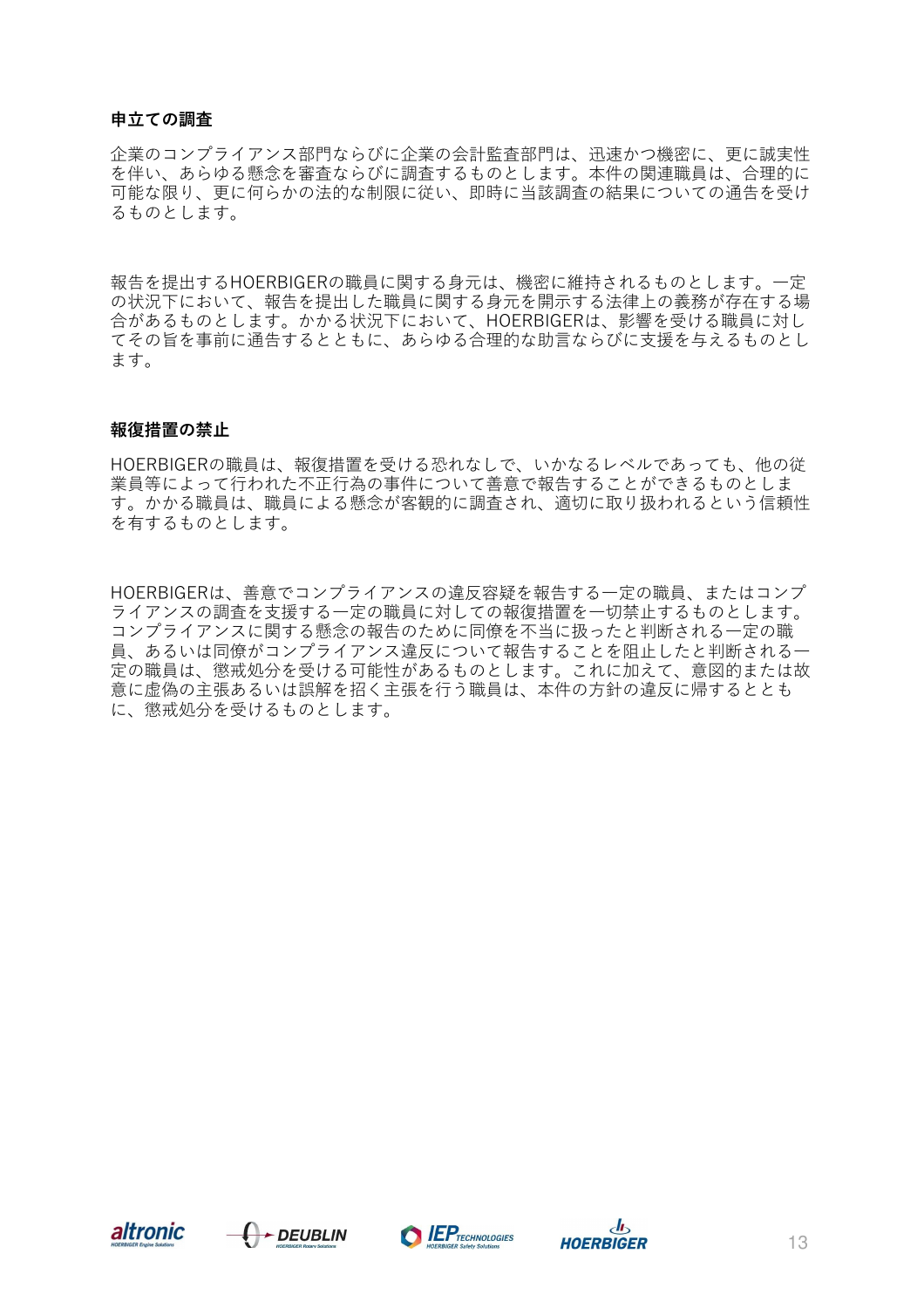#### **申立ての調査**

企業のコンプライアンス部門ならびに企業の会計監査部門は、迅速かつ機密に、更に誠実性 を伴い、あらゆる懸念を審査ならびに調査するものとします。本件の関連職員は、合理的に 可能な限り、更に何らかの法的な制限に従い、即時に当該調査の結果についての通告を受け るものとします。

報告を提出するHOERBIGERの職員に関する身元は、機密に維持されるものとします。一定 の状況下において、報告を提出した職員に関する身元を開示する法律上の義務が存在する場 合があるものとします。かかる状況下において、HOERBIGERは、影響を受ける職員に対し てその旨を事前に通告するとともに、あらゆる合理的な助言ならびに支援を与えるものとし ます。

#### **報復措置の禁止**

HOERBIGERの職員は、報復措置を受ける恐れなしで、いかなるレベルであっても、他の従 業員等によって行われた不正行為の事件について善意で報告することができるものとしま す。かかる職員は、職員による懸念が客観的に調査され、適切に取り扱われるという信頼性 を有するものとします。

HOERBIGERは、善意でコンプライアンスの違反容疑を報告する一定の職員、またはコンプ ライアンスの調査を支援する一定の職員に対しての報復措置を一切禁止するものとします。 コンプライアンスに関する懸念の報告のために同僚を不当に扱ったと判断される一定の職 員、あるいは同僚がコンプライアンス違反について報告することを阻止したと判断される一 定の職員は、懲戒処分を受ける可能性があるものとします。これに加えて、意図的または故 意に虚偽の主張あるいは誤解を招く主張を行う職員は、本件の方針の違反に帰するととも に、懲戒処分を受けるものとします。







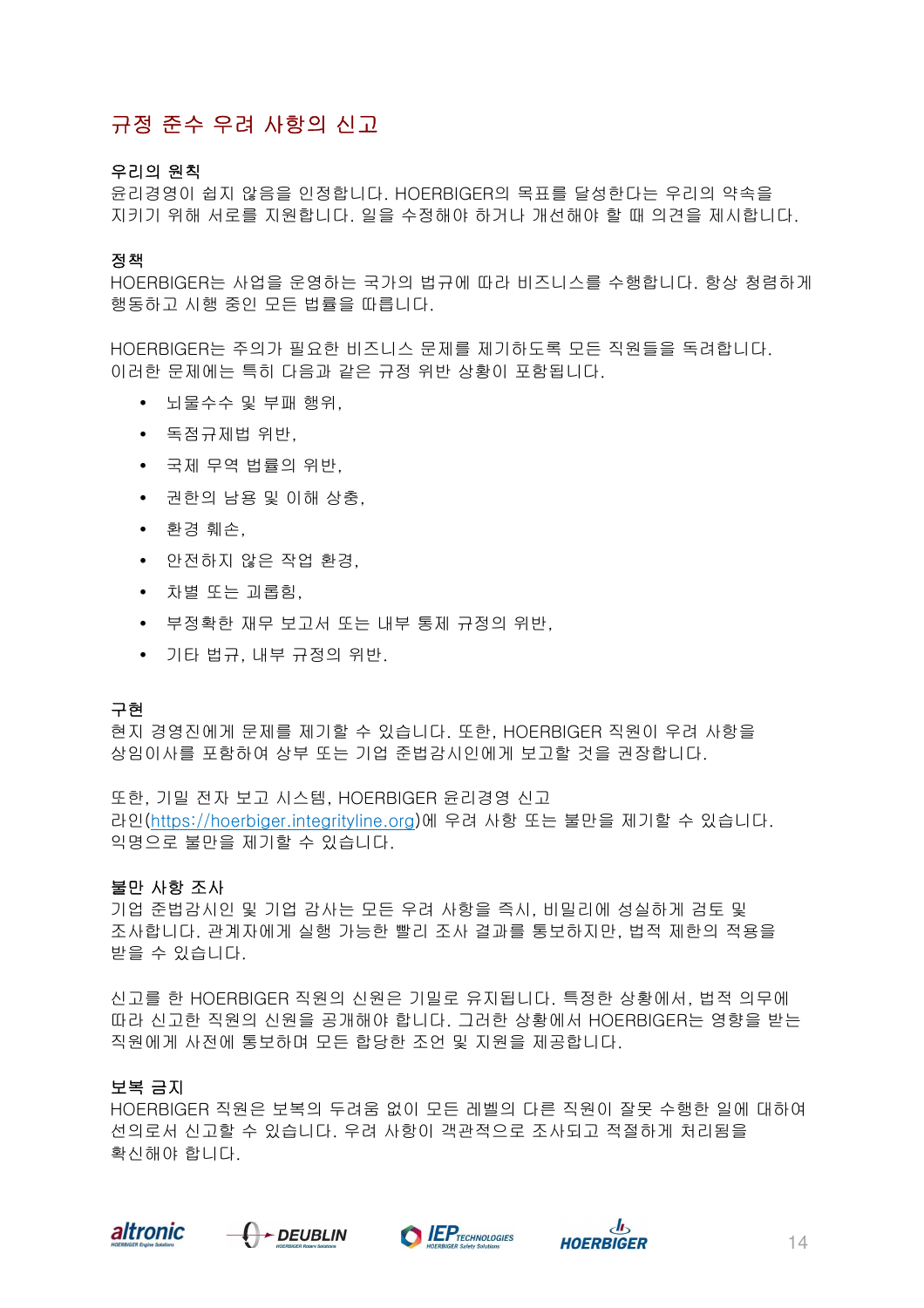# 규정 준수 우려 사항의 신고

#### 우리의 원칙

윤리경영이 쉽지 않음을 인정합니다. HOERBIGER의 목표를 달성한다는 우리의 약속을 지키기 위해 서로를 지원합니다. 일을 수정해야 하거나 개선해야 할 때 의견을 제시합니다.

#### 정책

HOERBIGER는 사업을 운영하는 국가의 법규에 따라 비즈니스를 수행합니다. 항상 청렴하게 행동하고 시행 중인 모든 법률을 따릅니다.

HOERBIGER는 주의가 필요한 비즈니스 문제를 제기하도록 모든 직원들을 독려합니다. 이러한 문제에는 특히 다음과 같은 규정 위반 상황이 포함됩니다.

- 뇌물수수 및 부패 행위,
- 독점규제법 위반,
- 국제 무역 법률의 위반,
- 권한의 남용 및 이해 상충,
- 환경 훼손,
- 안전하지 않은 작업 환경,
- 차별 또는 괴롭힘,
- 부정확한 재무 보고서 또는 내부 통제 규정의 위반,
- 기타 법규, 내부 규정의 위반.

#### 구현

현지 경영진에게 문제를 제기할 수 있습니다. 또한, HOERBIGER 직원이 우려 사항을 상임이사를 포함하여 상부 또는 기업 준법감시인에게 보고할 것을 권장합니다.

또한, 기밀 전자 보고 시스템, HOERBIGER 윤리경영 신고 라인(https://hoerbiger.integrityline.org)에 우려 사항 또는 불만을 제기할 수 있습니다. 익명으로 불만을 제기할 수 있습니다.

#### 불만 사항 조사

기업 준법감시인 및 기업 감사는 모든 우려 사항을 즉시, 비밀리에 성실하게 검토 및 조사합니다. 관계자에게 실행 가능한 빨리 조사 결과를 통보하지만, 법적 제한의 적용을 받을 수 있습니다.

신고를 한 HOERBIGER 직원의 신원은 기밀로 유지됩니다. 특정한 상황에서, 법적 의무에 따라 신고한 직원의 신원을 공개해야 합니다. 그러한 상황에서 HOERBIGER는 영향을 받는 직원에게 사전에 통보하며 모든 합당한 조언 및 지원을 제공합니다.

#### 보복 금지

HOERBIGER 직원은 보복의 두려움 없이 모든 레벨의 다른 직원이 잘못 수행한 일에 대하여 선의로서 신고할 수 있습니다. 우려 사항이 객관적으로 조사되고 적절하게 처리됨을 확신해야 합니다.







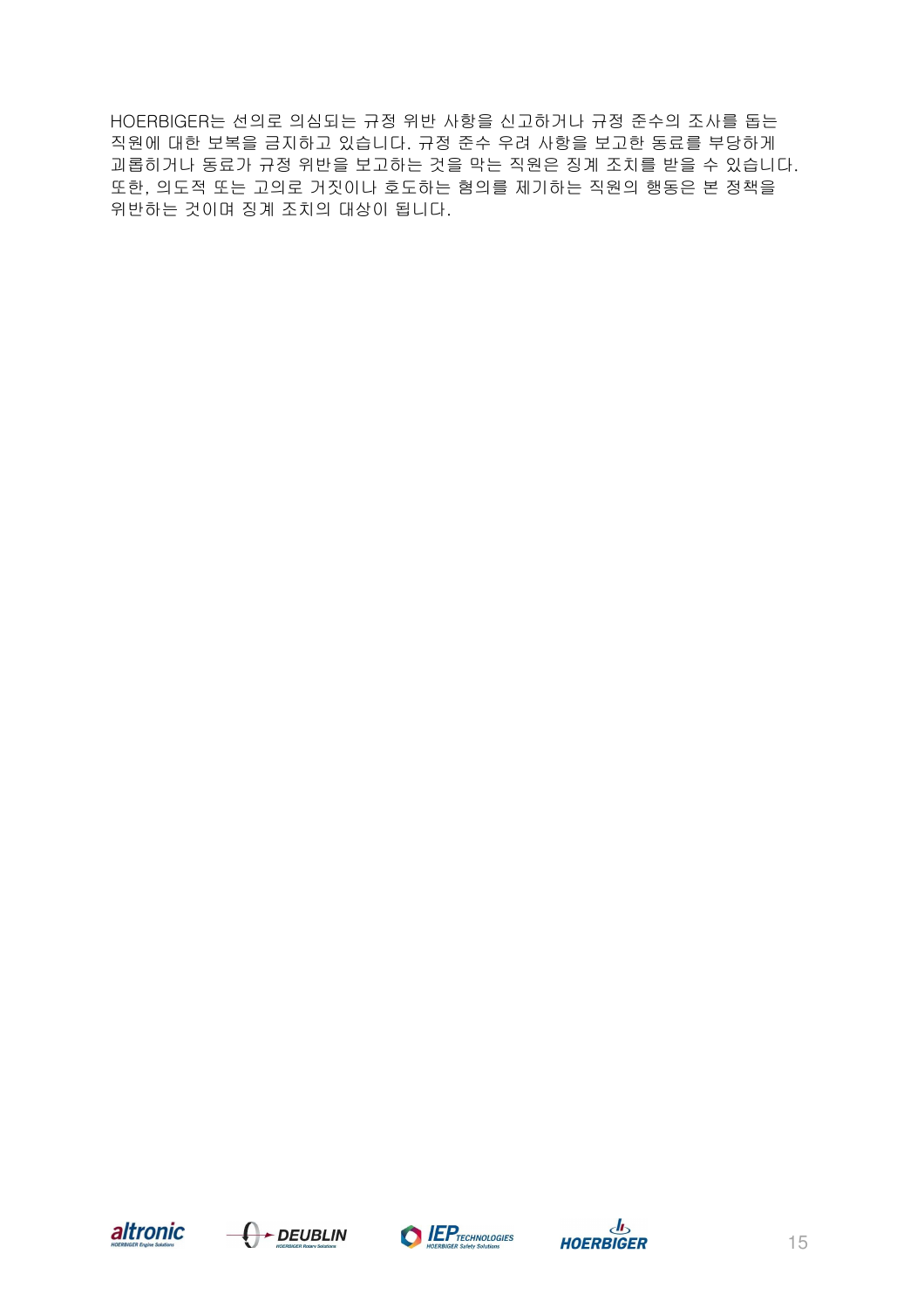HOERBIGER는 선의로 의심되는 규정 위반 사항을 신고하거나 규정 준수의 조사를 돕는 직원에 대한 보복을 금지하고 있습니다. 규정 준수 우려 사항을 보고한 동료를 부당하게 괴롭히거나 동료가 규정 위반을 보고하는 것을 막는 직원은 징계 조치를 받을 수 있습니다. 또한, 의도적 또는 고의로 거짓이나 호도하는 혐의를 제기하는 직원의 행동은 본 정책을 위반하는 것이며 징계 조치의 대상이 됩니다.







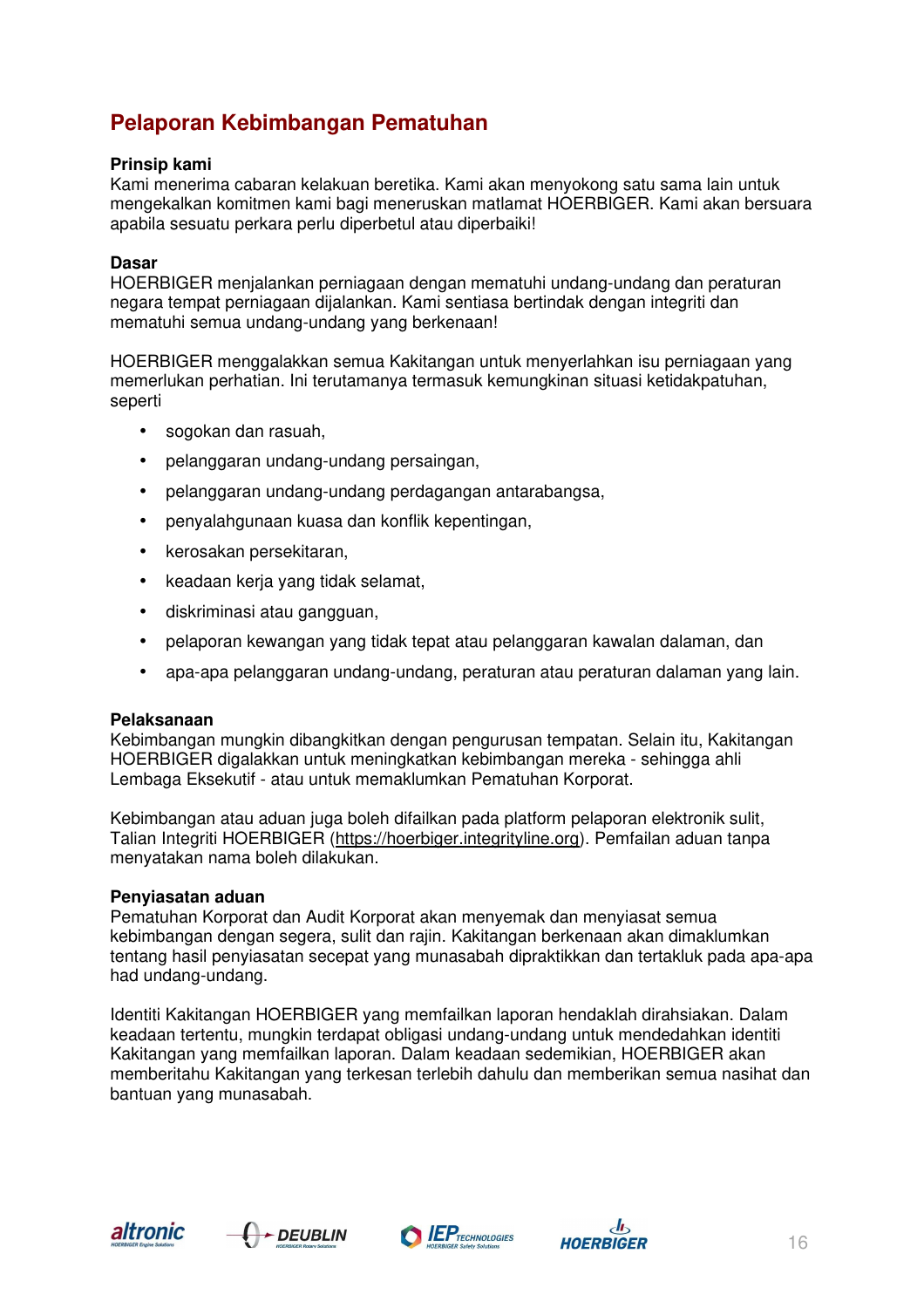# **Pelaporan Kebimbangan Pematuhan**

#### **Prinsip kami**

Kami menerima cabaran kelakuan beretika. Kami akan menyokong satu sama lain untuk mengekalkan komitmen kami bagi meneruskan matlamat HOERBIGER. Kami akan bersuara apabila sesuatu perkara perlu diperbetul atau diperbaiki!

#### **Dasar**

HOERBIGER menjalankan perniagaan dengan mematuhi undang-undang dan peraturan negara tempat perniagaan dijalankan. Kami sentiasa bertindak dengan integriti dan mematuhi semua undang-undang yang berkenaan!

HOERBIGER menggalakkan semua Kakitangan untuk menyerlahkan isu perniagaan yang memerlukan perhatian. Ini terutamanya termasuk kemungkinan situasi ketidakpatuhan, seperti

- sogokan dan rasuah,
- pelanggaran undang-undang persaingan,
- pelanggaran undang-undang perdagangan antarabangsa,
- penyalahgunaan kuasa dan konflik kepentingan,
- kerosakan persekitaran,
- keadaan kerja yang tidak selamat,
- diskriminasi atau gangguan,
- pelaporan kewangan yang tidak tepat atau pelanggaran kawalan dalaman, dan
- apa-apa pelanggaran undang-undang, peraturan atau peraturan dalaman yang lain.

#### **Pelaksanaan**

Kebimbangan mungkin dibangkitkan dengan pengurusan tempatan. Selain itu, Kakitangan HOERBIGER digalakkan untuk meningkatkan kebimbangan mereka - sehingga ahli Lembaga Eksekutif - atau untuk memaklumkan Pematuhan Korporat.

Kebimbangan atau aduan juga boleh difailkan pada platform pelaporan elektronik sulit, Talian Integriti HOERBIGER (https://hoerbiger.integrityline.org). Pemfailan aduan tanpa menyatakan nama boleh dilakukan.

#### **Penyiasatan aduan**

Pematuhan Korporat dan Audit Korporat akan menyemak dan menyiasat semua kebimbangan dengan segera, sulit dan rajin. Kakitangan berkenaan akan dimaklumkan tentang hasil penyiasatan secepat yang munasabah dipraktikkan dan tertakluk pada apa-apa had undang-undang.

Identiti Kakitangan HOERBIGER yang memfailkan laporan hendaklah dirahsiakan. Dalam keadaan tertentu, mungkin terdapat obligasi undang-undang untuk mendedahkan identiti Kakitangan yang memfailkan laporan. Dalam keadaan sedemikian, HOERBIGER akan memberitahu Kakitangan yang terkesan terlebih dahulu dan memberikan semua nasihat dan bantuan yang munasabah.







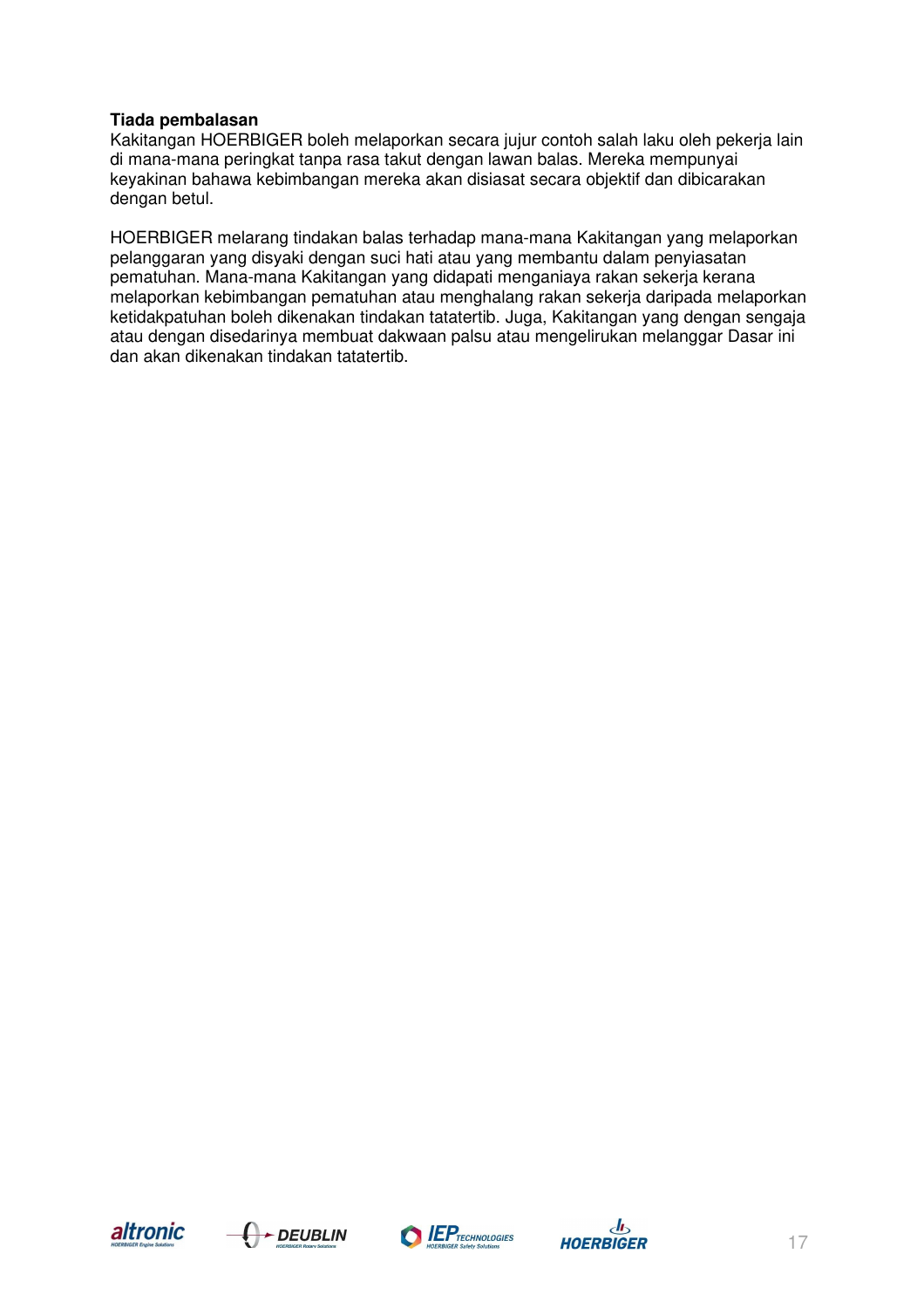#### **Tiada pembalasan**

Kakitangan HOERBIGER boleh melaporkan secara jujur contoh salah laku oleh pekerja lain di mana-mana peringkat tanpa rasa takut dengan lawan balas. Mereka mempunyai keyakinan bahawa kebimbangan mereka akan disiasat secara objektif dan dibicarakan dengan betul.

HOERBIGER melarang tindakan balas terhadap mana-mana Kakitangan yang melaporkan pelanggaran yang disyaki dengan suci hati atau yang membantu dalam penyiasatan pematuhan. Mana-mana Kakitangan yang didapati menganiaya rakan sekerja kerana melaporkan kebimbangan pematuhan atau menghalang rakan sekerja daripada melaporkan ketidakpatuhan boleh dikenakan tindakan tatatertib. Juga, Kakitangan yang dengan sengaja atau dengan disedarinya membuat dakwaan palsu atau mengelirukan melanggar Dasar ini dan akan dikenakan tindakan tatatertib.







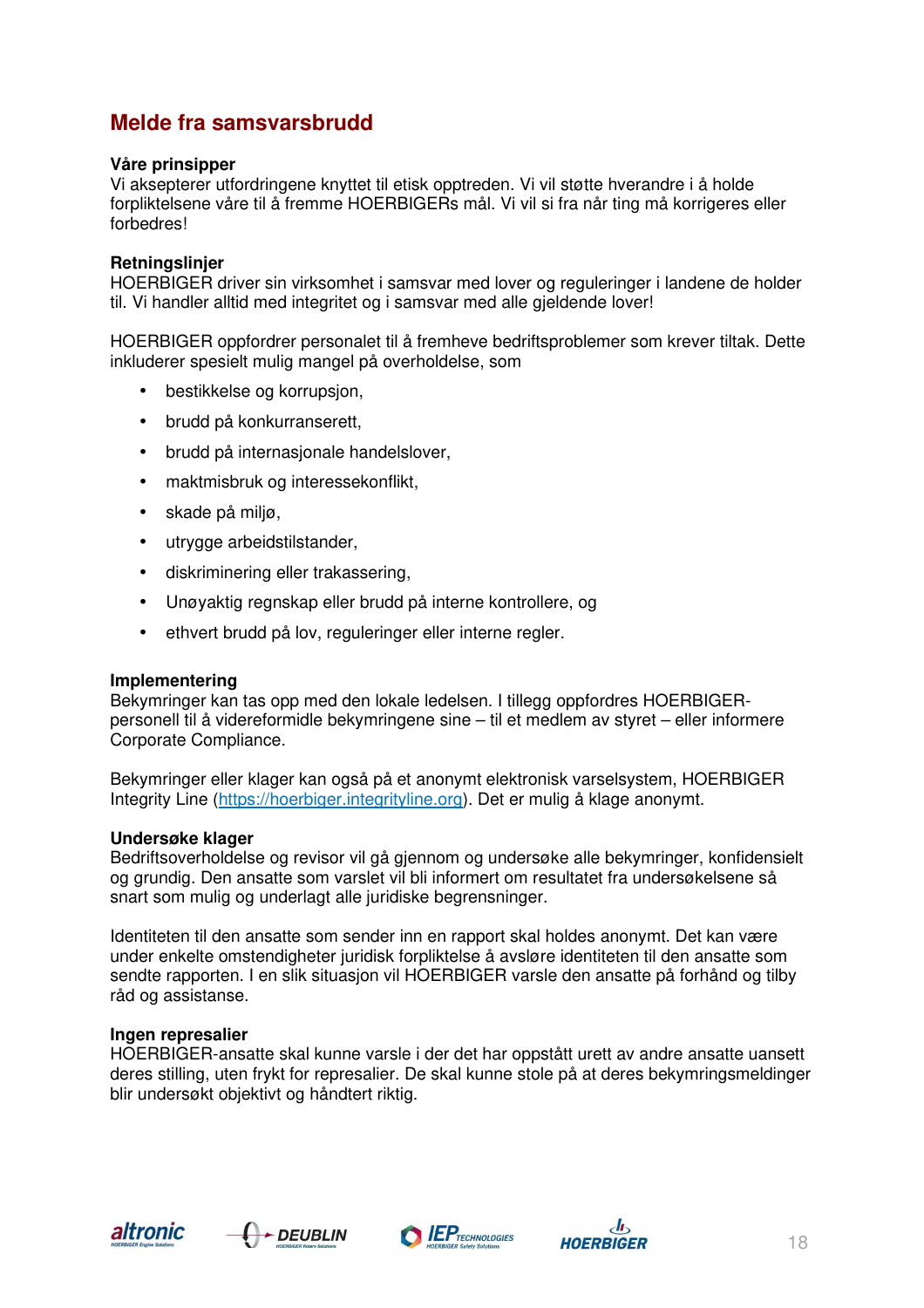## **Melde fra samsvarsbrudd**

#### **Våre prinsipper**

Vi aksepterer utfordringene knyttet til etisk opptreden. Vi vil støtte hverandre i å holde forpliktelsene våre til å fremme HOERBIGERs mål. Vi vil si fra når ting må korrigeres eller forbedres!

#### **Retningslinjer**

HOERBIGER driver sin virksomhet i samsvar med lover og reguleringer i landene de holder til. Vi handler alltid med integritet og i samsvar med alle gjeldende lover!

HOERBIGER oppfordrer personalet til å fremheve bedriftsproblemer som krever tiltak. Dette inkluderer spesielt mulig mangel på overholdelse, som

- bestikkelse og korrupsjon,
- brudd på konkurranserett,
- brudd på internasjonale handelslover,
- maktmisbruk og interessekonflikt,
- skade på miljø,
- utrygge arbeidstilstander,
- diskriminering eller trakassering,
- Unøyaktig regnskap eller brudd på interne kontrollere, og
- ethvert brudd på lov, reguleringer eller interne regler.

#### **Implementering**

Bekymringer kan tas opp med den lokale ledelsen. I tillegg oppfordres HOERBIGERpersonell til å videreformidle bekymringene sine – til et medlem av styret – eller informere Corporate Compliance.

Bekymringer eller klager kan også på et anonymt elektronisk varselsystem, HOERBIGER Integrity Line (https://hoerbiger.integrityline.org). Det er mulig å klage anonymt.

#### **Undersøke klager**

Bedriftsoverholdelse og revisor vil gå gjennom og undersøke alle bekymringer, konfidensielt og grundig. Den ansatte som varslet vil bli informert om resultatet fra undersøkelsene så snart som mulig og underlagt alle juridiske begrensninger.

Identiteten til den ansatte som sender inn en rapport skal holdes anonymt. Det kan være under enkelte omstendigheter juridisk forpliktelse å avsløre identiteten til den ansatte som sendte rapporten. I en slik situasjon vil HOERBIGER varsle den ansatte på forhånd og tilby råd og assistanse.

#### **Ingen represalier**

HOERBIGER-ansatte skal kunne varsle i der det har oppstått urett av andre ansatte uansett deres stilling, uten frykt for represalier. De skal kunne stole på at deres bekymringsmeldinger blir undersøkt objektivt og håndtert riktig.







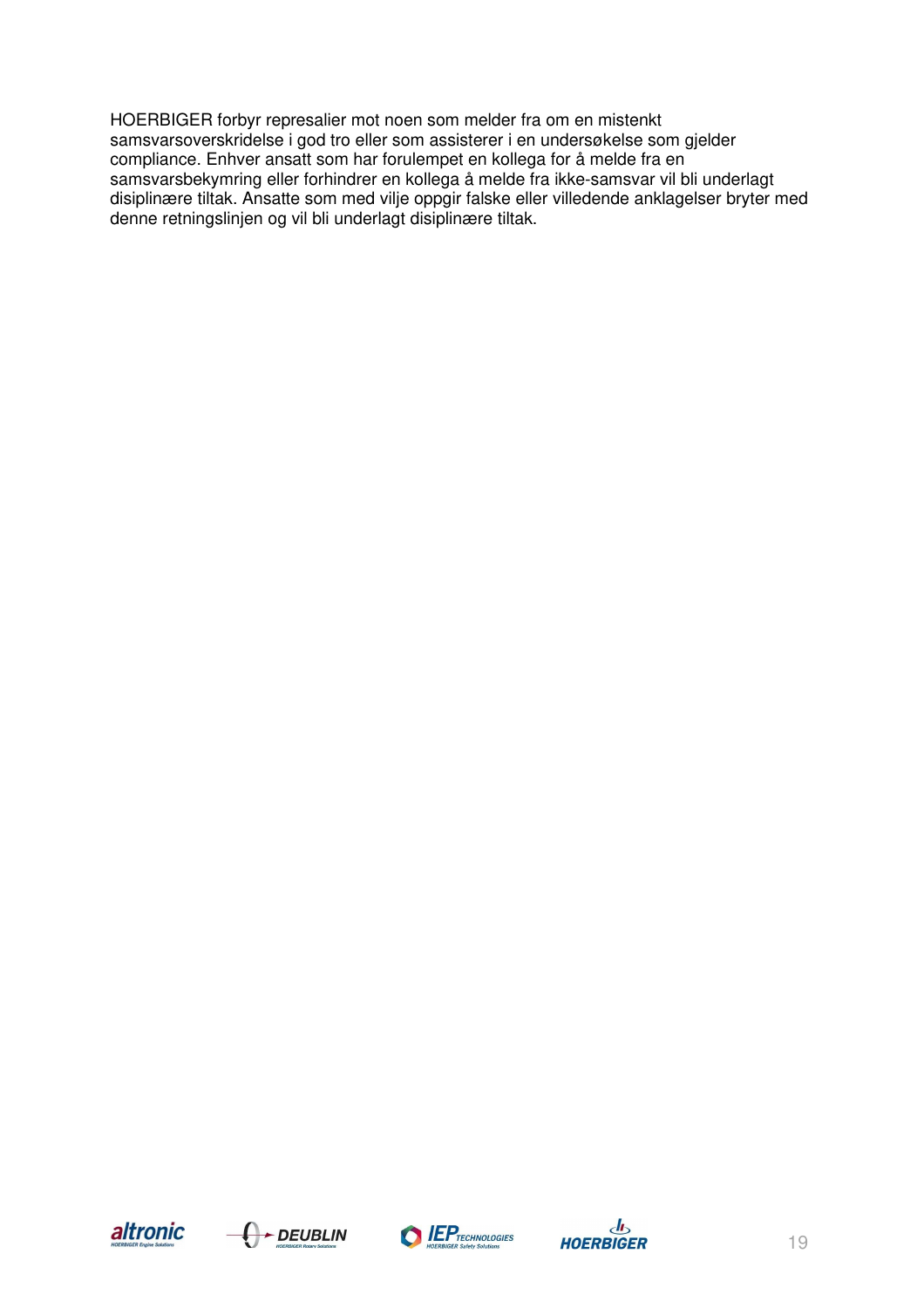HOERBIGER forbyr represalier mot noen som melder fra om en mistenkt samsvarsoverskridelse i god tro eller som assisterer i en undersøkelse som gjelder compliance. Enhver ansatt som har forulempet en kollega for å melde fra en samsvarsbekymring eller forhindrer en kollega å melde fra ikke-samsvar vil bli underlagt disiplinære tiltak. Ansatte som med vilje oppgir falske eller villedende anklagelser bryter med denne retningslinjen og vil bli underlagt disiplinære tiltak.







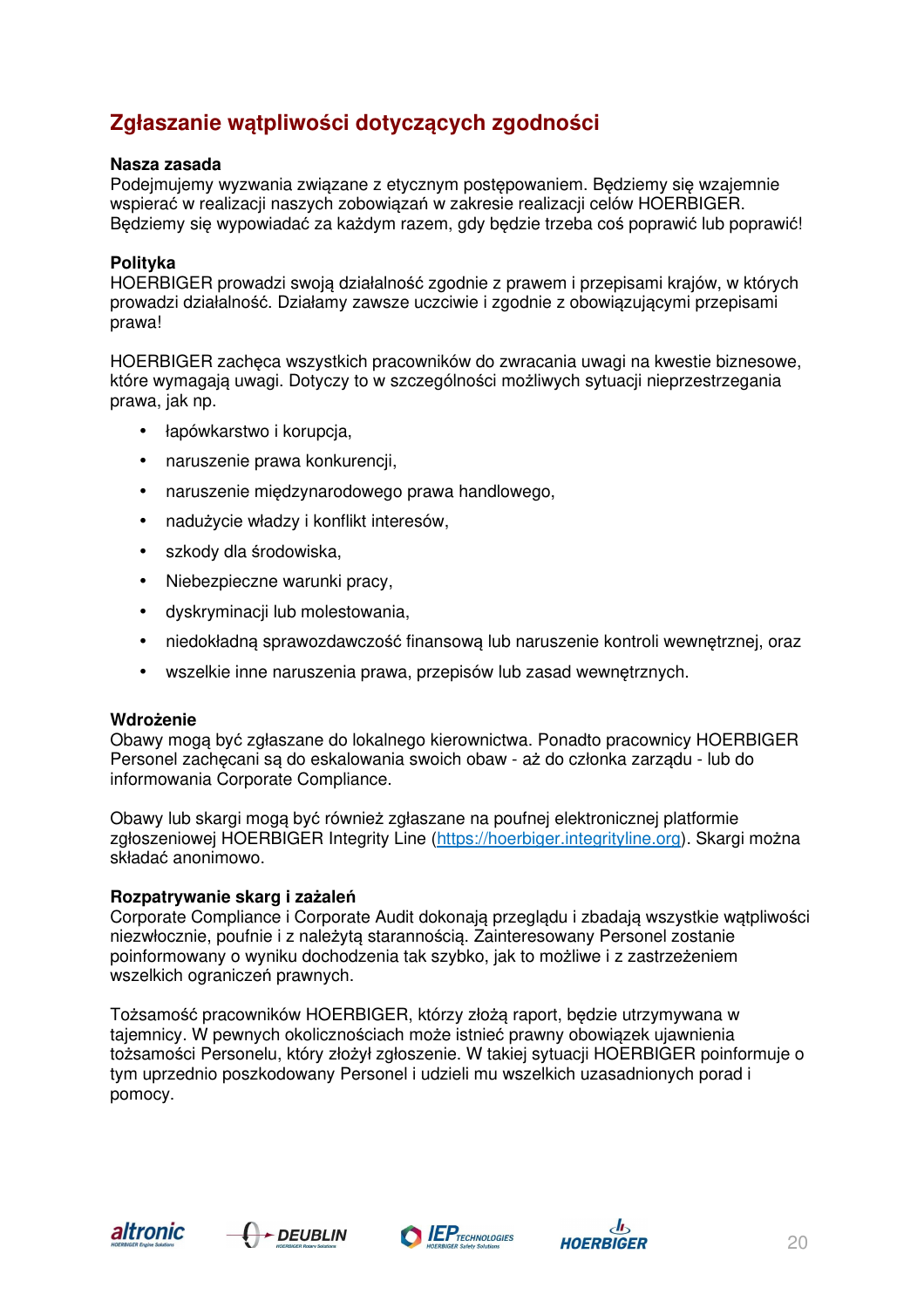# **Zgłaszanie wątpliwości dotyczących zgodności**

#### **Nasza zasada**

Podejmujemy wyzwania związane z etycznym postępowaniem. Będziemy się wzajemnie wspierać w realizacji naszych zobowiązań w zakresie realizacji celów HOERBIGER. Będziemy się wypowiadać za każdym razem, gdy będzie trzeba coś poprawić lub poprawić!

#### **Polityka**

HOERBIGER prowadzi swoją działalność zgodnie z prawem i przepisami krajów, w których prowadzi działalność. Działamy zawsze uczciwie i zgodnie z obowiązującymi przepisami prawa!

HOERBIGER zachęca wszystkich pracowników do zwracania uwagi na kwestie biznesowe, które wymagają uwagi. Dotyczy to w szczególności możliwych sytuacji nieprzestrzegania prawa, jak np.

- łapówkarstwo i korupcia,
- naruszenie prawa konkurencji,
- naruszenie międzynarodowego prawa handlowego,
- nadużycie władzy i konflikt interesów,
- szkody dla środowiska,
- Niebezpieczne warunki pracy,
- dyskryminacji lub molestowania,
- niedokładną sprawozdawczość finansową lub naruszenie kontroli wewnętrznej, oraz
- wszelkie inne naruszenia prawa, przepisów lub zasad wewnętrznych.

#### **Wdrożenie**

Obawy mogą być zgłaszane do lokalnego kierownictwa. Ponadto pracownicy HOERBIGER Personel zachęcani są do eskalowania swoich obaw - aż do członka zarządu - lub do informowania Corporate Compliance.

Obawy lub skargi mogą być również zgłaszane na poufnej elektronicznej platformie zgłoszeniowej HOERBIGER Integrity Line (https://hoerbiger.integrityline.org). Skargi można składać anonimowo.

#### **Rozpatrywanie skarg i zażaleń**

Corporate Compliance i Corporate Audit dokonają przeglądu i zbadają wszystkie wątpliwości niezwłocznie, poufnie i z należytą starannością. Zainteresowany Personel zostanie poinformowany o wyniku dochodzenia tak szybko, jak to możliwe i z zastrzeżeniem wszelkich ograniczeń prawnych.

Tożsamość pracowników HOERBIGER, którzy złożą raport, będzie utrzymywana w tajemnicy. W pewnych okolicznościach może istnieć prawny obowiązek ujawnienia tożsamości Personelu, który złożył zgłoszenie. W takiej sytuacji HOERBIGER poinformuje o tym uprzednio poszkodowany Personel i udzieli mu wszelkich uzasadnionych porad i pomocy.







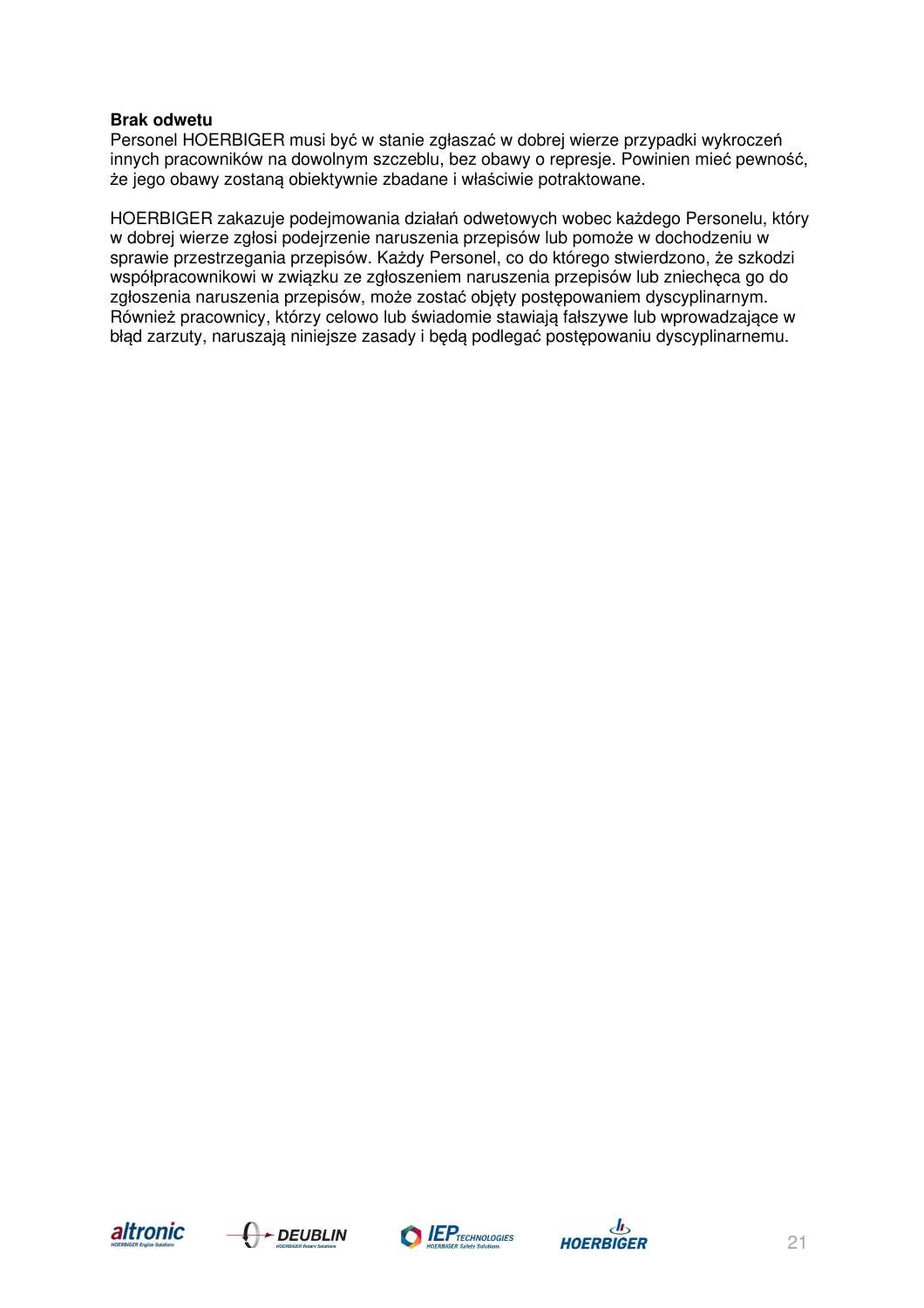#### **Brak odwetu**

Personel HOERBIGER musi być w stanie zgłaszać w dobrej wierze przypadki wykroczeń innych pracowników na dowolnym szczeblu, bez obawy o represje. Powinien mieć pewność, że jego obawy zostaną obiektywnie zbadane i właściwie potraktowane.

HOERBIGER zakazuje podejmowania działań odwetowych wobec każdego Personelu, który w dobrej wierze zgłosi podejrzenie naruszenia przepisów lub pomoże w dochodzeniu w sprawie przestrzegania przepisów. Każdy Personel, co do którego stwierdzono, że szkodzi współpracownikowi w związku ze zgłoszeniem naruszenia przepisów lub zniechęca go do zgłoszenia naruszenia przepisów, może zostać objęty postępowaniem dyscyplinarnym. Również pracownicy, którzy celowo lub świadomie stawiają fałszywe lub wprowadzające w błąd zarzuty, naruszają niniejsze zasady i będą podlegać postępowaniu dyscyplinarnemu.







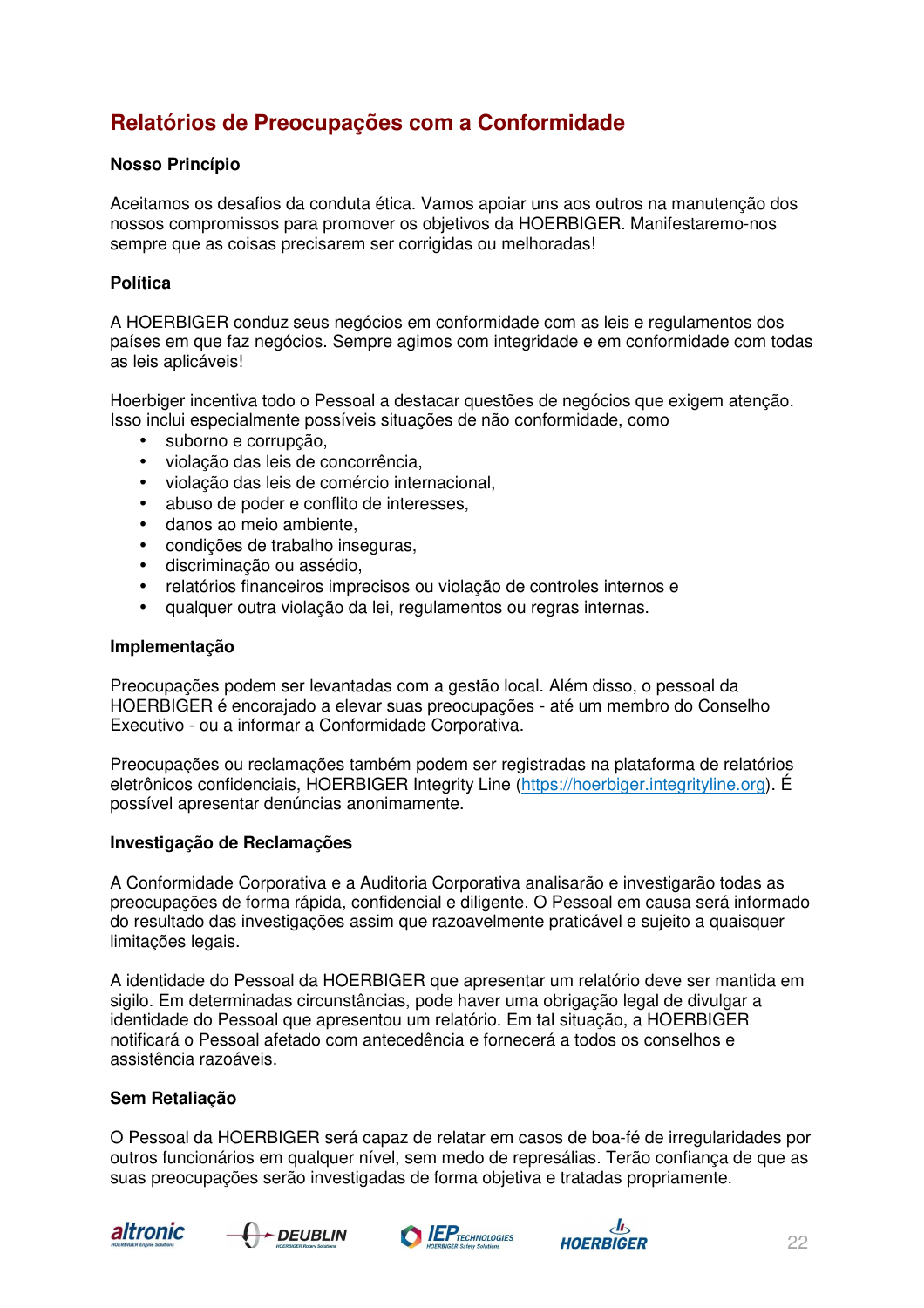# **Relatórios de Preocupações com a Conformidade**

#### **Nosso Princípio**

Aceitamos os desafios da conduta ética. Vamos apoiar uns aos outros na manutenção dos nossos compromissos para promover os objetivos da HOERBIGER. Manifestaremo-nos sempre que as coisas precisarem ser corrigidas ou melhoradas!

#### **Política**

A HOERBIGER conduz seus negócios em conformidade com as leis e regulamentos dos países em que faz negócios. Sempre agimos com integridade e em conformidade com todas as leis aplicáveis!

Hoerbiger incentiva todo o Pessoal a destacar questões de negócios que exigem atenção. Isso inclui especialmente possíveis situações de não conformidade, como

- suborno e corrupção,
- violação das leis de concorrência,
- violação das leis de comércio internacional,
- abuso de poder e conflito de interesses,
- danos ao meio ambiente,
- condições de trabalho inseguras,
- discriminação ou assédio,
- relatórios financeiros imprecisos ou violação de controles internos e
- qualquer outra violação da lei, regulamentos ou regras internas.

#### **Implementação**

Preocupações podem ser levantadas com a gestão local. Além disso, o pessoal da HOERBIGER é encorajado a elevar suas preocupações - até um membro do Conselho Executivo - ou a informar a Conformidade Corporativa.

Preocupações ou reclamações também podem ser registradas na plataforma de relatórios eletrônicos confidenciais, HOERBIGER Integrity Line (https://hoerbiger.integrityline.org). É possível apresentar denúncias anonimamente.

#### **Investigação de Reclamações**

A Conformidade Corporativa e a Auditoria Corporativa analisarão e investigarão todas as preocupações de forma rápida, confidencial e diligente. O Pessoal em causa será informado do resultado das investigações assim que razoavelmente praticável e sujeito a quaisquer limitações legais.

A identidade do Pessoal da HOERBIGER que apresentar um relatório deve ser mantida em sigilo. Em determinadas circunstâncias, pode haver uma obrigação legal de divulgar a identidade do Pessoal que apresentou um relatório. Em tal situação, a HOERBIGER notificará o Pessoal afetado com antecedência e fornecerá a todos os conselhos e assistência razoáveis.

#### **Sem Retaliação**

O Pessoal da HOERBIGER será capaz de relatar em casos de boa-fé de irregularidades por outros funcionários em qualquer nível, sem medo de represálias. Terão confiança de que as suas preocupações serão investigadas de forma objetiva e tratadas propriamente.







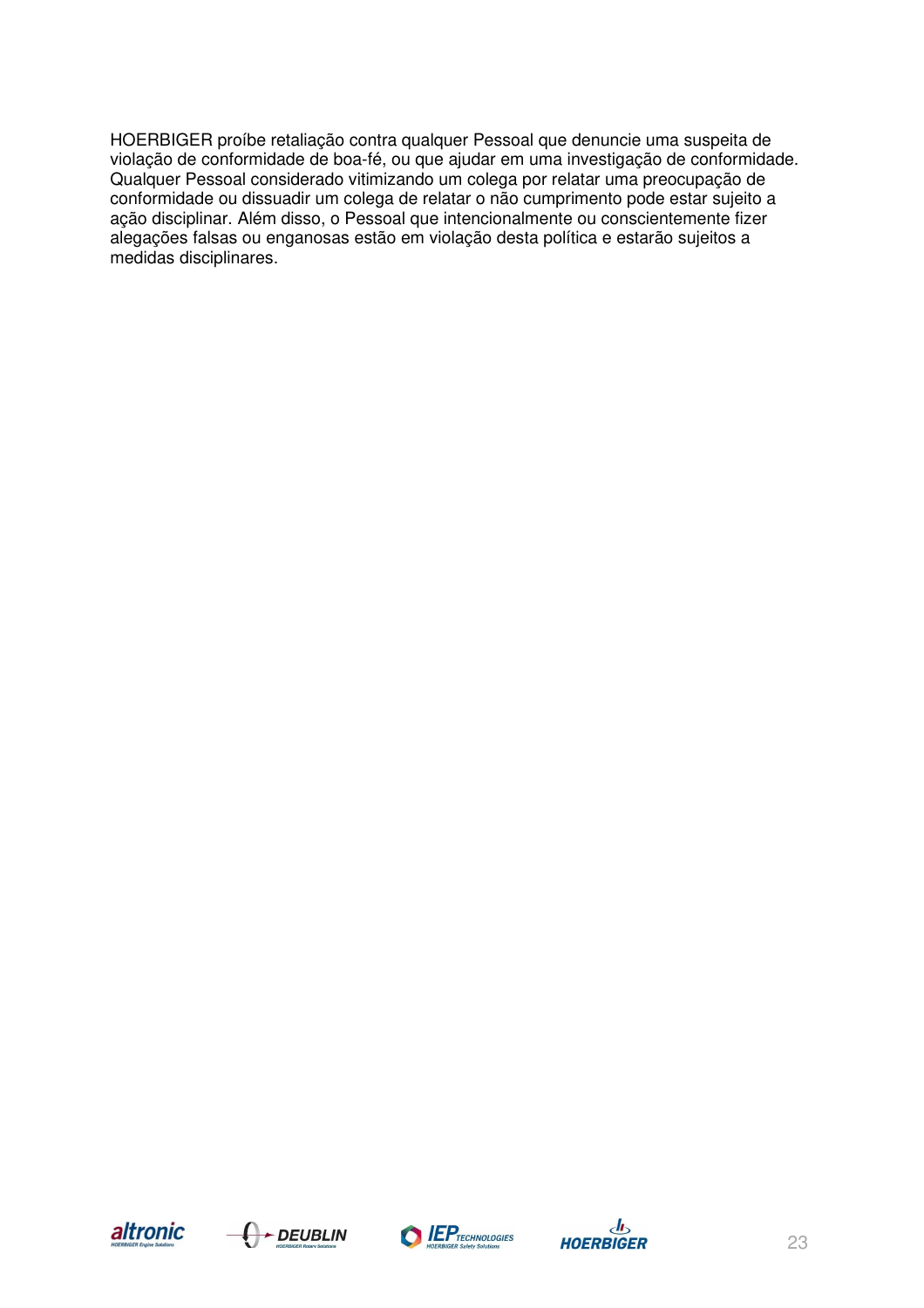HOERBIGER proíbe retaliação contra qualquer Pessoal que denuncie uma suspeita de violação de conformidade de boa-fé, ou que ajudar em uma investigação de conformidade. Qualquer Pessoal considerado vitimizando um colega por relatar uma preocupação de conformidade ou dissuadir um colega de relatar o não cumprimento pode estar sujeito a ação disciplinar. Além disso, o Pessoal que intencionalmente ou conscientemente fizer alegações falsas ou enganosas estão em violação desta política e estarão sujeitos a medidas disciplinares.







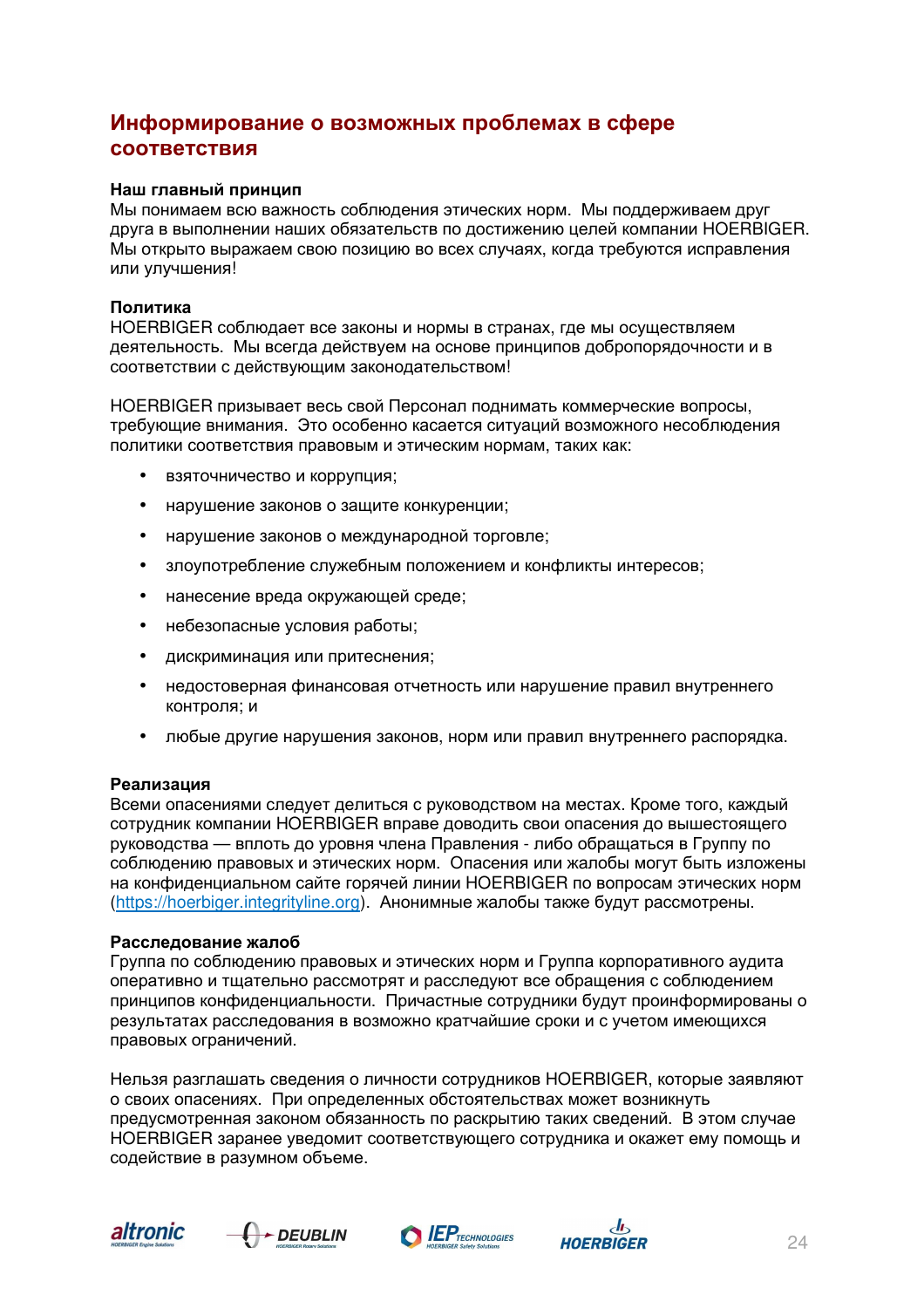## **Информирование о возможных проблемах в сфере соответствия**

#### **Наш главный принцип**

Мы понимаем всю важность соблюдения этических норм. Мы поддерживаем друг друга в выполнении наших обязательств по достижению целей компании HOERBIGER. Мы открыто выражаем свою позицию во всех случаях, когда требуются исправления или улучшения!

#### **Политика**

HOERBIGER соблюдает все законы и нормы в странах, где мы осуществляем деятельность. Мы всегда действуем на основе принципов добропорядочности и в соответствии с действующим законодательством!

HOERBIGER призывает весь свой Персонал поднимать коммерческие вопросы, требующие внимания. Это особенно касается ситуаций возможного несоблюдения политики соответствия правовым и этическим нормам, таких как:

- взяточничество и коррупция;
- нарушение законов о защите конкуренции:
- нарушение законов о международной торговле;
- злоупотребление служебным положением и конфликты интересов;
- нанесение вреда окружающей среде;
- небезопасные условия работы;
- дискриминация или притеснения;
- недостоверная финансовая отчетность или нарушение правил внутреннего контроля; и
- любые другие нарушения законов, норм или правил внутреннего распорядка.

#### **Реализация**

Всеми опасениями следует делиться с руководством на местах. Кроме того, каждый сотрудник компании HOERBIGER вправе доводить свои опасения до вышестоящего руководства — вплоть до уровня члена Правления - либо обращаться в Группу по соблюдению правовых и этических норм. Опасения или жалобы могут быть изложены на конфиденциальном сайте горячей линии HOERBIGER по вопросам этических норм (https://hoerbiger.integrityline.org). Анонимные жалобы также будут рассмотрены.

#### **Расследование жалоб**

Группа по соблюдению правовых и этических норм и Группа корпоративного аудита оперативно и тщательно рассмотрят и расследуют все обращения с соблюдением принципов конфиденциальности. Причастные сотрудники будут проинформированы о результатах расследования в возможно кратчайшие сроки и с учетом имеющихся правовых ограничений.

Нельзя разглашать сведения о личности сотрудников HOERBIGER, которые заявляют о своих опасениях. При определенных обстоятельствах может возникнуть предусмотренная законом обязанность по раскрытию таких сведений. В этом случае HOERBIGER заранее уведомит соответствующего сотрудника и окажет ему помощь и содействие в разумном объеме.







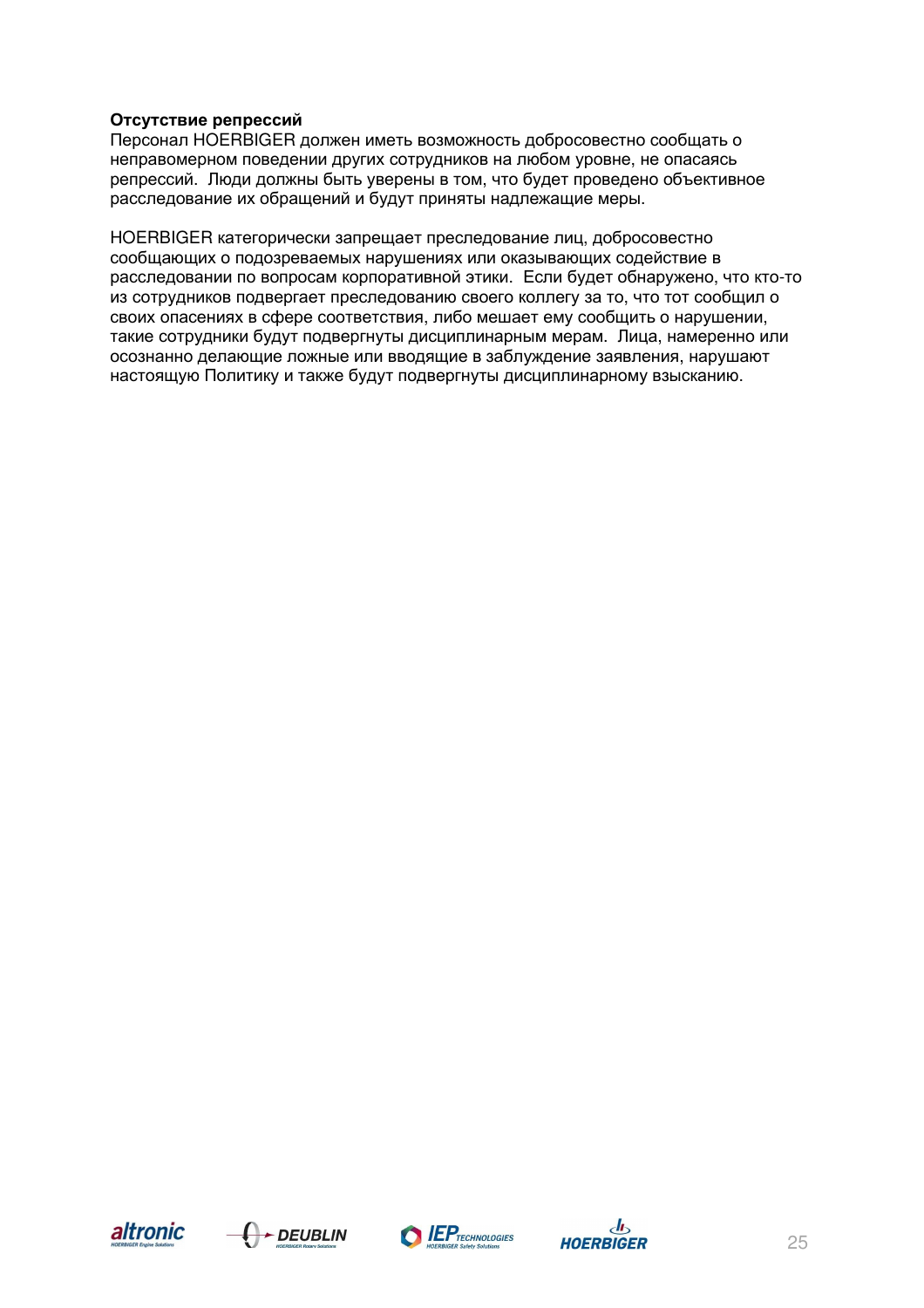#### **Отсутствие репрессий**

Персонал HOERBIGER должен иметь возможность добросовестно сообщать о неправомерном поведении других сотрудников на любом уровне, не опасаясь репрессий. Люди должны быть уверены в том, что будет проведено объективное расследование их обращений и будут приняты надлежащие меры.

HOERBIGER категорически запрещает преследование лиц, добросовестно сообщающих о подозреваемых нарушениях или оказывающих содействие в расследовании по вопросам корпоративной этики. Если будет обнаружено, что кто-то из сотрудников подвергает преследованию своего коллегу за то, что тот сообщил о своих опасениях в сфере соответствия, либо мешает ему сообщить о нарушении, такие сотрудники будут подвергнуты дисциплинарным мерам. Лица, намеренно или осознанно делающие ложные или вводящие в заблуждение заявления, нарушают настоящую Политику и также будут подвергнуты дисциплинарному взысканию.







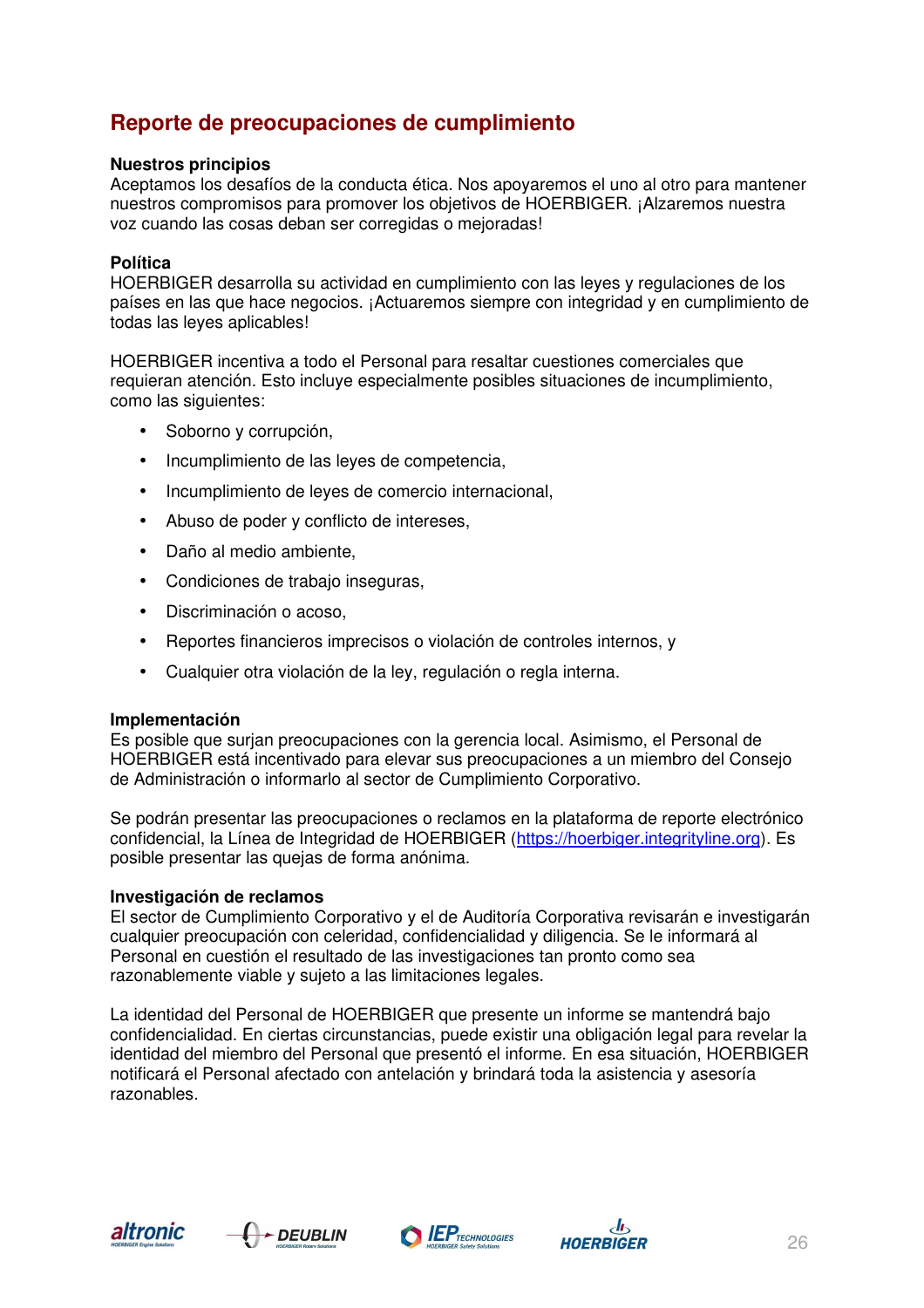## **Reporte de preocupaciones de cumplimiento**

#### **Nuestros principios**

Aceptamos los desafíos de la conducta ética. Nos apoyaremos el uno al otro para mantener nuestros compromisos para promover los objetivos de HOERBIGER. ¡Alzaremos nuestra voz cuando las cosas deban ser corregidas o mejoradas!

#### **Política**

HOERBIGER desarrolla su actividad en cumplimiento con las leyes y regulaciones de los países en las que hace negocios. ¡Actuaremos siempre con integridad y en cumplimiento de todas las leyes aplicables!

HOERBIGER incentiva a todo el Personal para resaltar cuestiones comerciales que requieran atención. Esto incluye especialmente posibles situaciones de incumplimiento, como las siguientes:

- Soborno y corrupción,
- Incumplimiento de las leyes de competencia,
- Incumplimiento de leyes de comercio internacional,
- Abuso de poder y conflicto de intereses,
- Daño al medio ambiente,
- Condiciones de trabaio inseguras,
- Discriminación o acoso,
- Reportes financieros imprecisos o violación de controles internos, y
- Cualquier otra violación de la ley, regulación o regla interna.

#### **Implementación**

Es posible que surjan preocupaciones con la gerencia local. Asimismo, el Personal de HOERBIGER está incentivado para elevar sus preocupaciones a un miembro del Consejo de Administración o informarlo al sector de Cumplimiento Corporativo.

Se podrán presentar las preocupaciones o reclamos en la plataforma de reporte electrónico confidencial, la Línea de Integridad de HOERBIGER (https://hoerbiger.integrityline.org). Es posible presentar las quejas de forma anónima.

#### **Investigación de reclamos**

El sector de Cumplimiento Corporativo y el de Auditoría Corporativa revisarán e investigarán cualquier preocupación con celeridad, confidencialidad y diligencia. Se le informará al Personal en cuestión el resultado de las investigaciones tan pronto como sea razonablemente viable y sujeto a las limitaciones legales.

La identidad del Personal de HOERBIGER que presente un informe se mantendrá bajo confidencialidad. En ciertas circunstancias, puede existir una obligación legal para revelar la identidad del miembro del Personal que presentó el informe. En esa situación, HOERBIGER notificará el Personal afectado con antelación y brindará toda la asistencia y asesoría razonables.







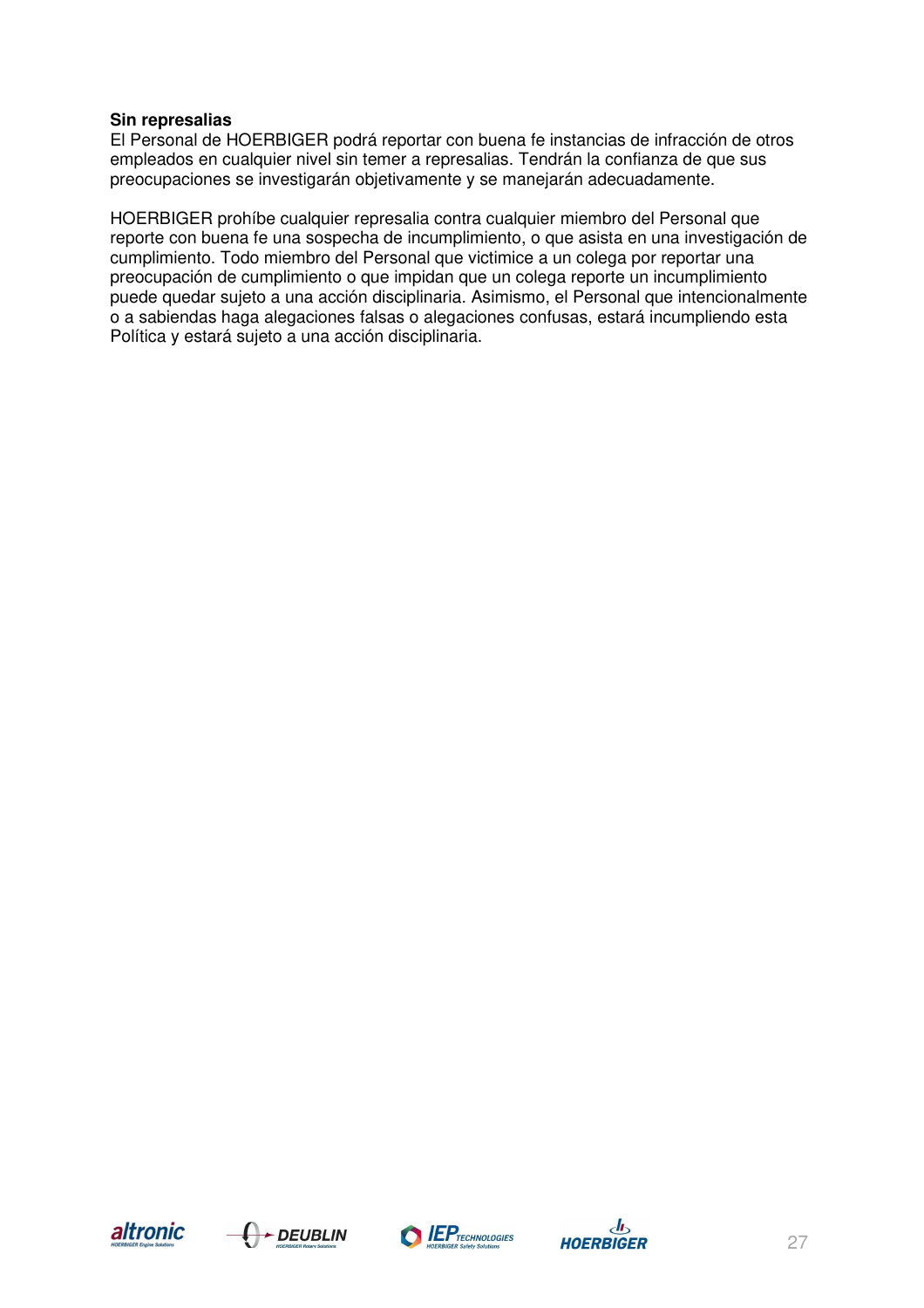#### **Sin represalias**

El Personal de HOERBIGER podrá reportar con buena fe instancias de infracción de otros empleados en cualquier nivel sin temer a represalias. Tendrán la confianza de que sus preocupaciones se investigarán objetivamente y se manejarán adecuadamente.

HOERBIGER prohíbe cualquier represalia contra cualquier miembro del Personal que reporte con buena fe una sospecha de incumplimiento, o que asista en una investigación de cumplimiento. Todo miembro del Personal que victimice a un colega por reportar una preocupación de cumplimiento o que impidan que un colega reporte un incumplimiento puede quedar sujeto a una acción disciplinaria. Asimismo, el Personal que intencionalmente o a sabiendas haga alegaciones falsas o alegaciones confusas, estará incumpliendo esta Política y estará sujeto a una acción disciplinaria.







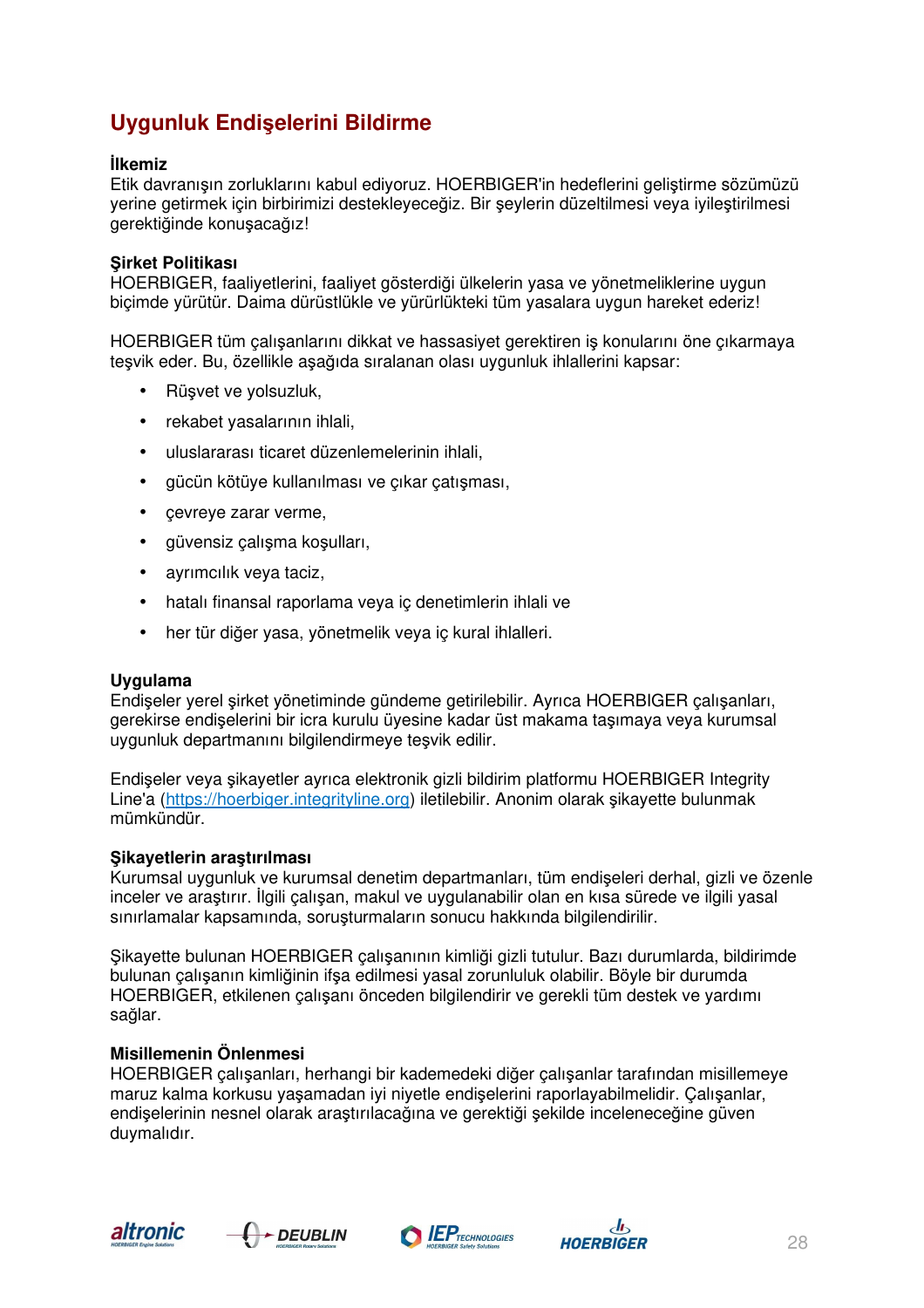# **Uygunluk Endişelerini Bildirme**

#### **İlkemiz**

Etik davranışın zorluklarını kabul ediyoruz. HOERBIGER'in hedeflerini geliştirme sözümüzü yerine getirmek için birbirimizi destekleyeceğiz. Bir şeylerin düzeltilmesi veya iyileştirilmesi gerektiğinde konuşacağız!

#### **Şirket Politikası**

HOERBIGER, faaliyetlerini, faaliyet gösterdiği ülkelerin yasa ve yönetmeliklerine uygun biçimde yürütür. Daima dürüstlükle ve yürürlükteki tüm yasalara uygun hareket ederiz!

HOERBIGER tüm çalışanlarını dikkat ve hassasiyet gerektiren iş konularını öne çıkarmaya teşvik eder. Bu, özellikle aşağıda sıralanan olası uygunluk ihlallerini kapsar:

- Rüşvet ve yolsuzluk,
- rekabet yasalarının ihlali,
- uluslararası ticaret düzenlemelerinin ihlali,
- gücün kötüye kullanılması ve çıkar çatışması,
- cevreye zarar verme,
- güvensiz çalışma koşulları,
- ayrımcılık veya taciz,
- hatalı finansal raporlama veya iç denetimlerin ihlali ve
- her tür diğer yasa, yönetmelik veya iç kural ihlalleri.

#### **Uygulama**

Endişeler yerel şirket yönetiminde gündeme getirilebilir. Ayrıca HOERBIGER çalışanları, gerekirse endişelerini bir icra kurulu üyesine kadar üst makama taşımaya veya kurumsal uygunluk departmanını bilgilendirmeye teşvik edilir.

Endişeler veya şikayetler ayrıca elektronik gizli bildirim platformu HOERBIGER Integrity Line'a (https://hoerbiger.integrityline.org) iletilebilir. Anonim olarak şikayette bulunmak mümkündür.

#### **Şikayetlerin araştırılması**

Kurumsal uygunluk ve kurumsal denetim departmanları, tüm endişeleri derhal, gizli ve özenle inceler ve araştırır. İlgili çalışan, makul ve uygulanabilir olan en kısa sürede ve ilgili yasal sınırlamalar kapsamında, soruşturmaların sonucu hakkında bilgilendirilir.

Şikayette bulunan HOERBIGER çalışanının kimliği gizli tutulur. Bazı durumlarda, bildirimde bulunan çalışanın kimliğinin ifşa edilmesi yasal zorunluluk olabilir. Böyle bir durumda HOERBIGER, etkilenen çalışanı önceden bilgilendirir ve gerekli tüm destek ve yardımı sağlar.

#### **Misillemenin Önlenmesi**

HOERBIGER çalışanları, herhangi bir kademedeki diğer çalışanlar tarafından misillemeye maruz kalma korkusu yaşamadan iyi niyetle endişelerini raporlayabilmelidir. Çalışanlar, endişelerinin nesnel olarak araştırılacağına ve gerektiği şekilde inceleneceğine güven duymalıdır.







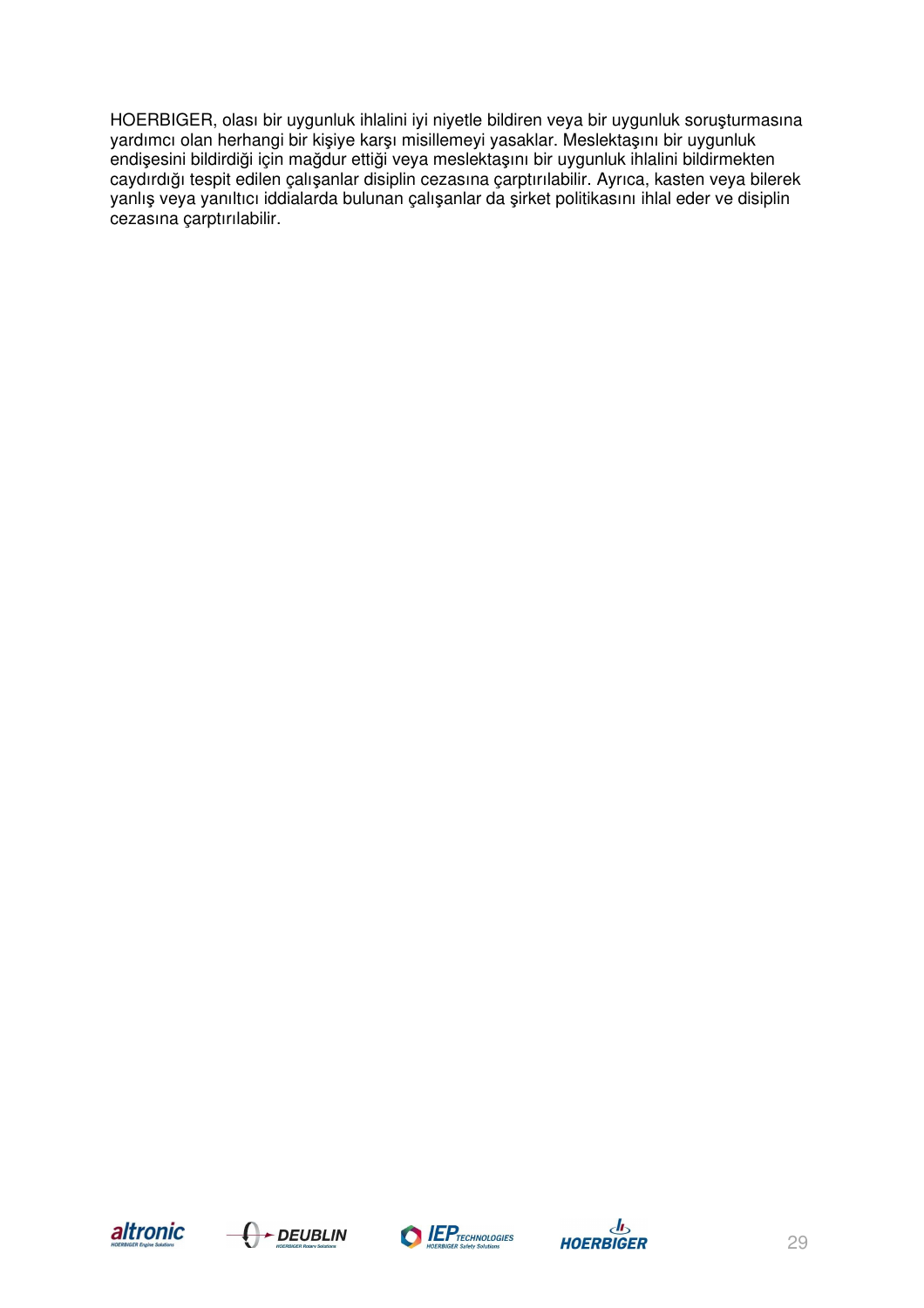HOERBIGER, olası bir uygunluk ihlalini iyi niyetle bildiren veya bir uygunluk soruşturmasına yardımcı olan herhangi bir kişiye karşı misillemeyi yasaklar. Meslektaşını bir uygunluk endişesini bildirdiği için mağdur ettiği veya meslektaşını bir uygunluk ihlalini bildirmekten caydırdığı tespit edilen çalışanlar disiplin cezasına çarptırılabilir. Ayrıca, kasten veya bilerek yanlış veya yanıltıcı iddialarda bulunan çalışanlar da şirket politikasını ihlal eder ve disiplin cezasına çarptırılabilir.







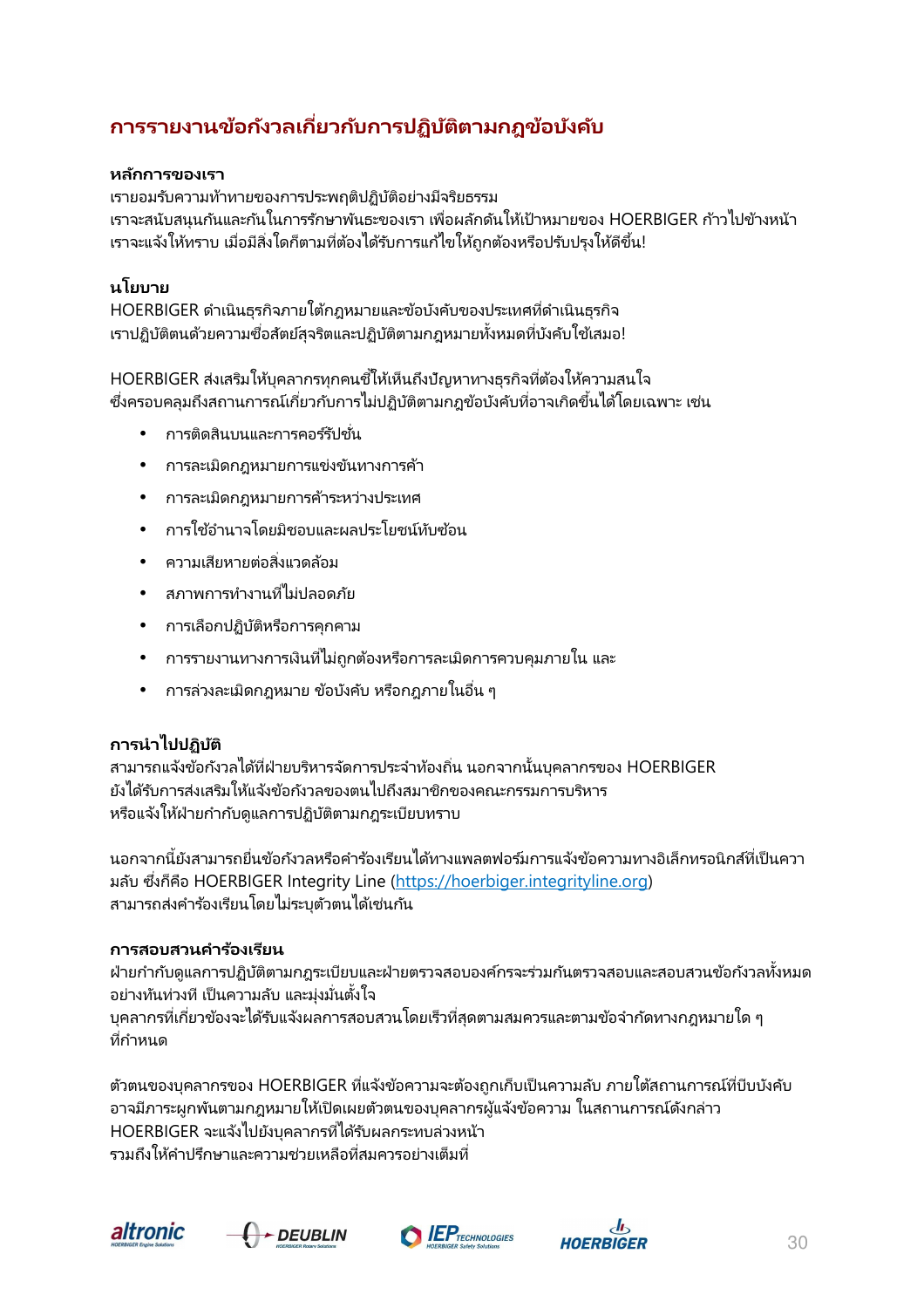# **การรายงานข้อกังวลเกียวกับการปฏิบัติตามกฎข้อบังคับ**

## **หลักการของเรา**

เรายอมรับความท้าทายของการประพฤติปฏิบัติอย่างมีจริยธรรม ี่ เราจะสนับสนุนกันและกันในการรักษาพันธะของเรา เพื่อผลักดันให้เป้าหมายของ HOERBIGER ก้าวไปข้างหน้า เราจะแจ้งให้ทราบ เมื่อมีสิ่งใดก็ตามที่ต้องได้รับการแก้ไขให้ถูกต้องหรือปรับปรุงให้ดีขึ้น!

## **นโยบาย**

HOERBIGER ดําเนินธุรกิจภายใต้กฎหมายและข้อบังคับของประเทศทีดําเนินธุรกิจ เราปฏิบัติตนด้วยความซื่อสัตย์สุจริตและปฏิบัติตามกภหมายทั้งหมดที่บังคับใช่เสมอ!

HOERBIGER ส่งเสริมให้บุคลากรทุกคนชี้ให้เห็นถึงปัญหาทางธุรกิจที่ต้องให้ความสนใจ ซึ่งครอบคลมถึงสถานการณ์เกี่ยวกับการไม่ปฏิบัติตามกฎข้อบังคับที่อาจเกิดขึ้นได้โดยเฉพาะ เช่น

- การติดสินบนและการคอร์รัปชั่น
- การละเมิดกฎหมายการแข่งขันทางการค้า
- การละเมิดกฎหมายการค้าระหว่างประเทศ
- การใช้อำนาจโดยมิชอบและผลประโยชน์ทับซ้อน
- ความเสียหายต่อสิงแวดล้อม
- สภาพการทํางานทีไม่ปลอดภัย
- การเลือกปฏิบัติหรือการคุกคาม
- การรายงานทางการเงินที่ไม่ถูกต้องหรือการละเมิดการควบคุมภายใน และ
- การล่วงละเมิดกภหมาย ข้อบังคับ หรือกภภายในอื่น ๆ

## **การนําไปปฏิบัติ**

ี สามารถแจ้งข้อกังวลได้ที่ฝ่ายบริหารจัดการประจำท้องถิ่น นอกจากนั้นบคลากรของ HOERBIGER ยังได้รับการส่งเสริมให้แจ้งข้อกังวลของตนไปถึงสมาชิกของคณะกรรมการบริหาร หรือแจ้งให้ฝ่ายกํากับดูแลการปฏิบัติตามกฎระเบียบทราบ

นอกจากนี้ยังสามารถยื่นข้อกังวลหรือคำร้องเรียนได้ทางแพลตฟอร์มการแจ้งข้อความทางอิเล็กทรอนิกส์ที่เป็นควา มลับ ซึงก็คือ HOERBIGER Integrity Line (https://hoerbiger.integrityline.org) ีสามารถส่งคำร้องเรียนโดยไม่ระบุตัวตนได้เช่นกัน

### **การสอบสวนคําร้องเรียน**

ฝ่ายกำกับดูแลการปฏิบัติตามกฎระเบียบและฝ่ายตรวจสอบองค์กรจะร่วมกันตรวจสอบและสอบสวนข้อกังวลทั้งหมด ้อย่างทันท่วงที เป็นความลับ และม่งมั่นตั้งใจ บุคลากรที่เกี่ยวข้องจะได้รับแจ้งผลการสอบสวนโดยเร็วที่สุดตามสมควรและตามข้อจำกัดทางกฎหมายใด ๆ

ที่กำหบด

ตัวตนของบุคลากรของ HOERBIGER ที่แจ้งข้อความจะต้องถูกเก็บเป็นความลับ ภายใต้สถานการณ์ที่บีบบังคับ อาจมีภาระผูกพันตามกฎหมายให้เปิดเผยตัวตนของบุคลากรผู้แจ้งข้อความ ในสถานการณ์ดังกล่าว HOERBIGER จะแจ้งไปยังบุคลากรทีได้รับผลกระทบล่วงหน้า รวมถึงให้คําปรึกษาและความช่วยเหลือทีสมควรอย่างเต็มที







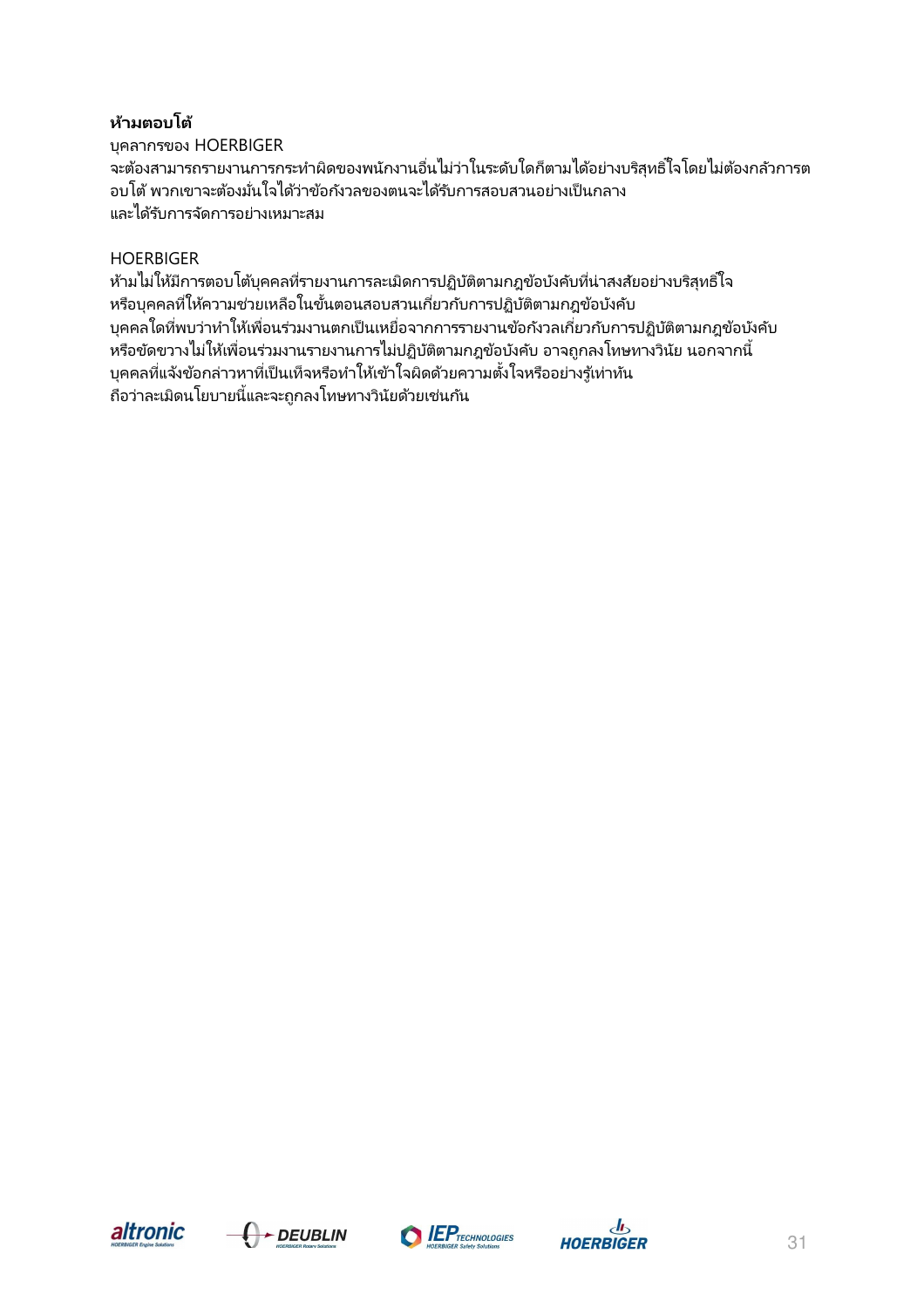## **ห้ามตอบโต้**

บุคลากรของ HOERBIGER จะต้องสามารถรายงานการกระทําผิดของพนักงานอืนไม่ว่าในระดับใดก็ตามได้อย่างบริสุทธิ Wใจโดยไม่ต้องกลัวการต ้อบโต้ พวกเขาจะต้องมั่นใจได้ว่าข้อกังวลของตนจะได้รับการสอบสวนอย่างเป็นกลาง และได้รับการจัดการอย่างเหมาะสม

## HOERBIGER

ห้ามไม่ให้มีการตอบโต้บุคคลที่รายงานการละเมิดการปฏิบัติตามกฎข้อบังคับที่น่าสงสัยอย่างบริสุทธิ์ ใจ หรือบุคคลที่ให้ความช่วยเหลือในขั้นตอนสอบสวนเกี่ยวกับการปฏิบัติตามกฎข้อบังคับ ้บุคคลใดที่พบว่าทำให้เพื่อนร่วมงานตกเป็นเหยื่อจากการรายงานข้อกังวลเกี่ยวกับการปฏิบัติตามกฎข้อบังคับ หรือขัดขวางไม่ให้เพื่อนร่วมงานรายงานการไม่ปฏิบัติตามกฎข้อบังคับ อาจถูกลงโทษทางวินัย นอกจากนี้ บุคคลที่แจ้งข้อกล่าวหาที่เป็นเท็จหรือทำให้เข้าใจผิดด้วยความตั้งใจหรืออย่างรู้เท่าทัน ถือว่าละเมิดนโยบายนีและจะถูกลงโทษทางวินัยด้วยเช่นกัน 5







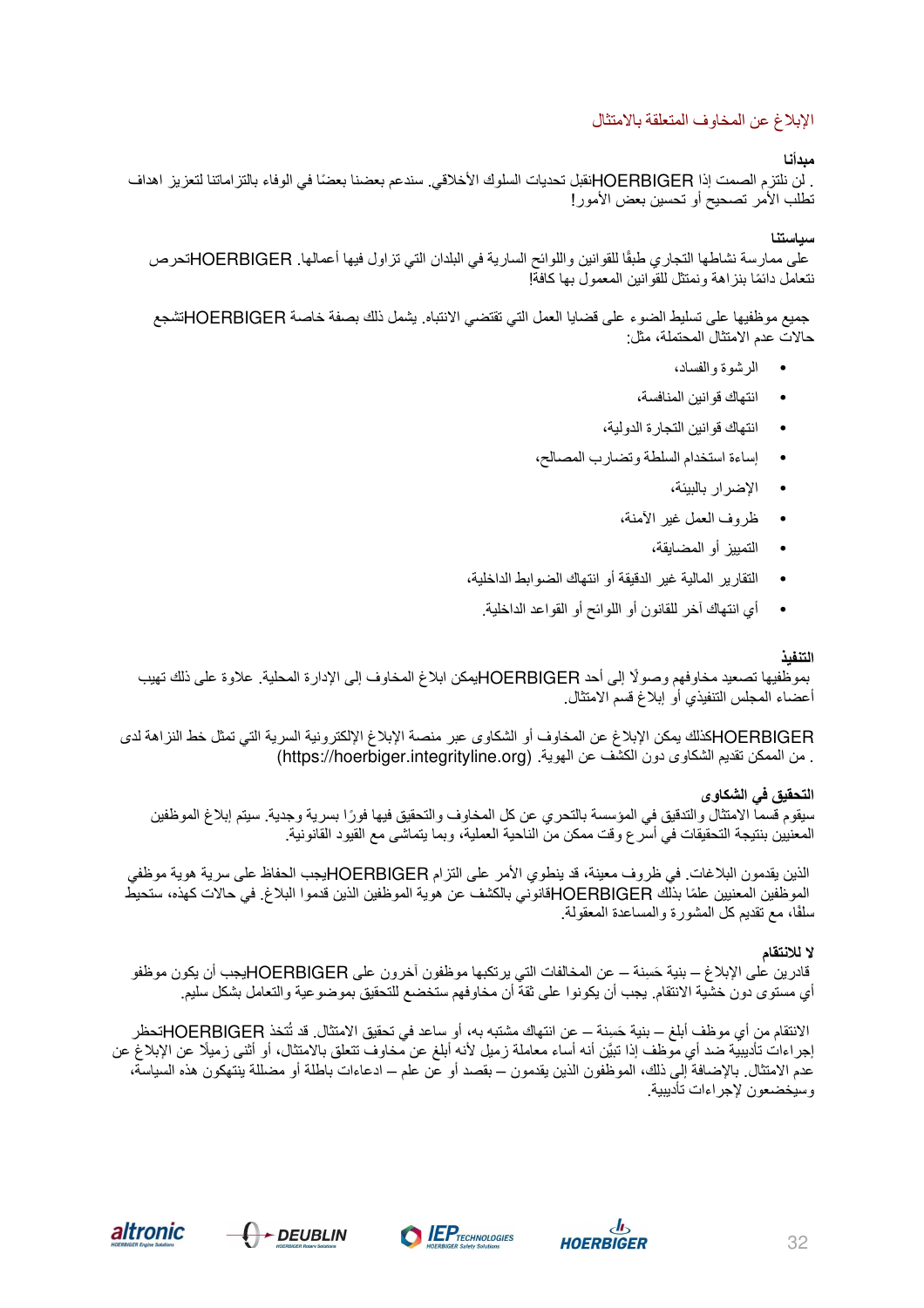#### الإبلاغ عن المخاوف المتعلقة بالامتثال

#### **مبدأنا**

. لن نلتزم الصمت إذا HOERBIGER ً نقبل تحديات السلوك الأخلاقي. سندعم بعضنا بعضا في الوفاء بالتزاماتنا لتعزيز اهداف تطلب الأمر تصحيح أو تحسين بعض الأمور!

#### **سياستنا**

ً على ممارسة نشاطها التجاري طبقا للقوانين واللوائح السارية في البلدان التي تزاول فيها أعمالها. HOERBIGERتحرص ً نتعامل دائما بنزاهة ونمتثل للقوانين المعمول بها كافة!

جميع موظفيها على تسليط الضوء على قضايا العمل التي تقتضي الانتباه. يشمل ذلك بصفة خاصة HOERBIGERتشجع حالات عدم الامتثال المحتملة، مثل:

- الرشوة والفساد،
- انتهاك قوانين المنافسة،
- انتهاك قوانين التجارة الدولية،
- إساءة استخدام السلطة وتضارب المصالح،
	- الإضرار بالبيئة،
	- ظروف العمل غير الآمنة،
		- التمييز أو المضايقة،
- التقارير المالية غير الدقيقة أو انتهاك الضوابط الداخلية،
	- أي انتهاك آخر للقانون أو اللوائح أو القواعد الداخلية.

#### **التنفيذ**

ً بموظفيها تصعيد مخاوفهم وصولا إلى أحد HOERBIGERيمكن ابلاغ المخاوف إلى الإدارة المحلية. علاوة على ذلك تهيب أعضاء المجلس التنفيذي أو إبلاغ قسم الامتثال.

 HOERBIGERكذلك يمكن الإبلاغ عن المخاوف أو الشكاوى عبر منصة الإبلاغ الإلكترونية السرية التي تمثل خط النزاهة لدى . من الممكن تقديم الشكاوى دون الكشف عن الهوية. (https://hoerbiger.integrityline.org)

**التحقيق في الشكاوى**  سيقوم قسما الامتثال والتدقيق في المؤسسة بالتحري عن كل المخاوف والتحقيق فيها فورًا بسرية وجدية. سيتم إبلاغ الموظفين المعنيين بنتيجة التحقيقات في أسرع وقت ممكن من الناحية العملية، وبما يتماشى مع القيود القانونية.

الذين يقدمون البلاغات. في ظروف معينة، قد ينطوي الأمر على التزام HOERBIGERيجب الحفاظ على سرية هوية موظفي ً الموظفين المعنيين علما بذلك HOERBIGERقانوني بالكشف عن هوية الموظفين الذين قدموا البلاغ. في حالات كهذه، ستحيط ًسلفا، مع تقديم كل المشورة والمساعدة المعقولة.

#### **لا للانتقام**

قادرين على الإبلاغ – بنية حَسِنة – عن المخالفات التي يرتكبها موظفون آخرون على HOERBIGERيجب أن يكون موظفو أي مستوى دون خشية الانتقام. يجب أن يكونوا على ثقة أن مخاوفهم ستخضع للتحقيق بموضوعية والتعامل بشكل سليم.

الانتقام من أي موظف أبلغ – بنية حَسِنة – عن انتهاك مشتبه به، أو ساعد في تحقيق الامتثال. قد تُتخذ HOERBIGERتحظر َّ إجراءات تأديبية ضد أي موظف إذا تبين أنه أساء معاملة ً زميل لأنه أبلغ عن مخاوف تتعلق بالامتثال، أو أثنى زميلا عن الإبلاغ عن عدم الامتثال. بالإضافة إلى ذلك، الموظفون الذين يقدمون – بقصد أو عن علم – ادعاءات باطلة أو مضللة ينتهكون هذه السياسة، وسيخضعون لإجراءات تأديبية.





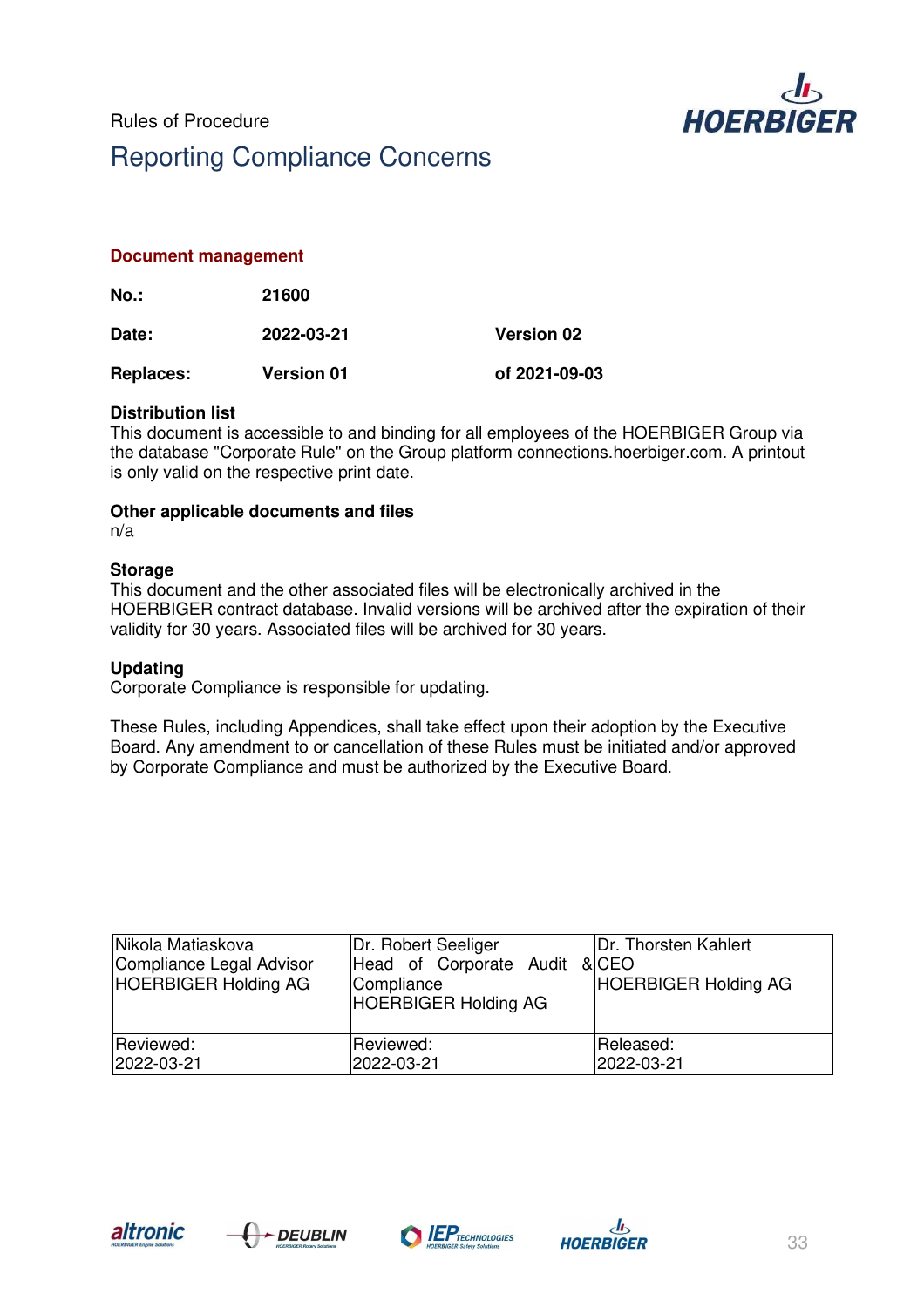

#### **Document management**

| No.:             | 21600             |                   |
|------------------|-------------------|-------------------|
| Date:            | 2022-03-21        | <b>Version 02</b> |
| <b>Replaces:</b> | <b>Version 01</b> | of 2021-09-03     |

#### **Distribution list**

This document is accessible to and binding for all employees of the HOERBIGER Group via the database "Corporate Rule" on the Group platform connections.hoerbiger.com. A printout is only valid on the respective print date.

#### **Other applicable documents and files**

n/a

#### **Storage**

This document and the other associated files will be electronically archived in the HOERBIGER contract database. Invalid versions will be archived after the expiration of their validity for 30 years. Associated files will be archived for 30 years.

#### **Updating**

Corporate Compliance is responsible for updating.

These Rules, including Appendices, shall take effect upon their adoption by the Executive Board. Any amendment to or cancellation of these Rules must be initiated and/or approved by Corporate Compliance and must be authorized by the Executive Board.

| Nikola Matiaskova<br>Compliance Legal Advisor<br><b>HOERBIGER Holding AG</b> | Dr. Robert Seeliger<br>Head of Corporate Audit & CEO<br>Compliance<br><b>HOERBIGER Holding AG</b> | Dr. Thorsten Kahlert<br><b>HOERBIGER Holding AG</b> |
|------------------------------------------------------------------------------|---------------------------------------------------------------------------------------------------|-----------------------------------------------------|
| Reviewed:                                                                    | Reviewed:                                                                                         | Released:                                           |
| 2022-03-21                                                                   | 2022-03-21                                                                                        | 2022-03-21                                          |